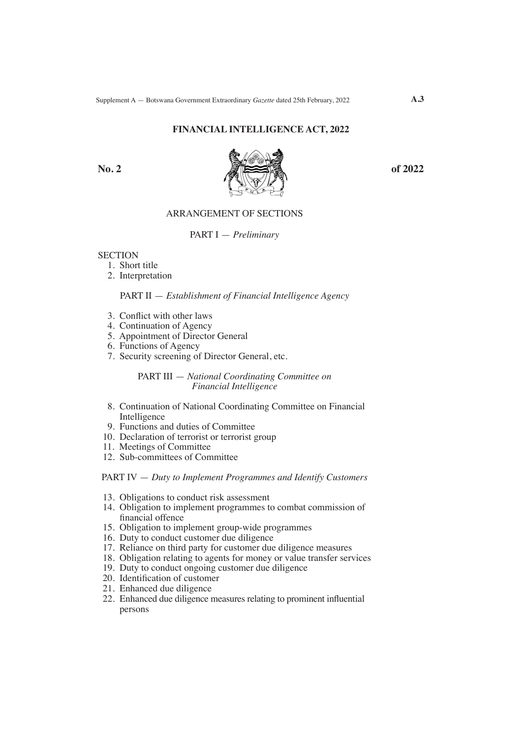## **FINANCIAL INTELLIGENCE ACT, 2022**



## ARRANGEMENT OF SECTIONS

PART I — *Preliminary*

#### **SECTION**

- 1. Short title
- 2. Interpretation

# PART II — *Establishment of Financial Intelligence Agency*

- 3. Conflict with other laws
- 4. Continuation of Agency
- 5. Appointment of Director General
- 6. Functions of Agency
- 7. Security screening of Director General, etc.

## PART III — *National Coordinating Committee on Financial Intelligence*

- 8. Continuation of National Coordinating Committee on Financial Intelligence
- 9. Functions and duties of Committee
- 10. Declaration of terrorist or terrorist group
- 11. Meetings of Committee
- 12. Sub-committees of Committee

#### PART IV — *Duty to Implement Programmes and Identify Customers*

- 13. Obligations to conduct risk assessment
- 14. Obligation to implement programmes to combat commission of financial offence
- 15. Obligation to implement group-wide programmes
- 16. Duty to conduct customer due diligence
- 17. Reliance on third party for customer due diligence measures
- 18. Obligation relating to agents for money or value transfer services
- 19. Duty to conduct ongoing customer due diligence
- 20. Identification of customer
- 21. Enhanced due diligence
- 22. Enhanced due diligence measures relating to prominent influential persons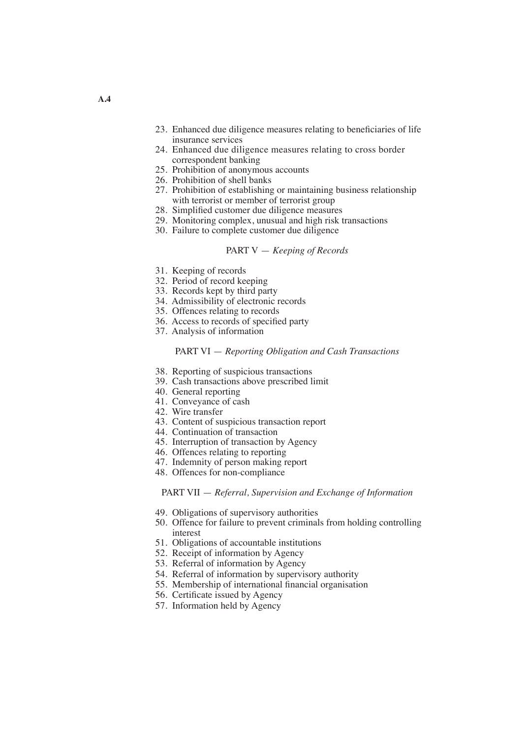- 23. Enhanced due diligence measures relating to beneficiaries of life insurance services
- 24. Enhanced due diligence measures relating to cross border correspondent banking
- 25. Prohibition of anonymous accounts
- 26. Prohibition of shell banks
- 27. Prohibition of establishing or maintaining business relationship with terrorist or member of terrorist group
- 28. Simplified customer due diligence measures
- 29. Monitoring complex, unusual and high risk transactions
- 30. Failure to complete customer due diligence

#### PART V — *Keeping of Records*

- 31. Keeping of records
- 32. Period of record keeping
- 33. Records kept by third party
- 34. Admissibility of electronic records
- 35. Offences relating to records
- 36. Access to records of specified party
- 37. Analysis of information

#### PART VI — *Reporting Obligation and Cash Transactions*

- 38. Reporting of suspicious transactions
- 39. Cash transactions above prescribed limit
- 40. General reporting
- 41. Conveyance of cash
- 42. Wire transfer
- 43. Content of suspicious transaction report
- 44. Continuation of transaction
- 45. Interruption of transaction by Agency
- 46. Offences relating to reporting
- 47. Indemnity of person making report
- 48. Offences for non-compliance

PART VII — *Referral, Supervision and Exchange of Information*

- 49. Obligations of supervisory authorities
- 50. Offence for failure to prevent criminals from holding controlling interest
- 51. Obligations of accountable institutions
- 52. Receipt of information by Agency
- 53. Referral of information by Agency
- 54. Referral of information by supervisory authority
- 55. Membership of international financial organisation
- 56. Certificate issued by Agency
- 57. Information held by Agency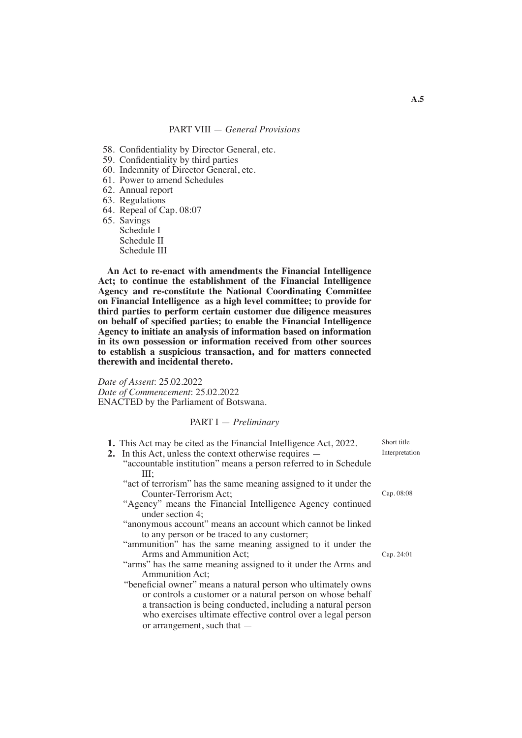- 58. Confidentiality by Director General, etc.
- 59. Confidentiality by third parties
- 60. Indemnity of Director General, etc.
- 61. Power to amend Schedules
- 62. Annual report
- 63. Regulations
- 64. Repeal of Cap. 08:07

65. Savings Schedule I Schedule II Schedule III

**An Act to re-enact with amendments the Financial Intelligence Act; to continue the establishment of the Financial Intelligence Agency and re-constitute the National Coordinating Committee on Financial Intelligence as a high level committee; to provide for third parties to perform certain customer due diligence measures on behalf of specified parties; to enable the Financial Intelligence Agency to initiate an analysis of information based on information in its own possession or information received from other sources to establish a suspicious transaction, and for matters connected therewith and incidental thereto.**

*Date of Assent*: 25.02.2022 *Date of Commencement*: 25.02.2022 ENACTED by the Parliament of Botswana.

#### PART I — *Preliminary*

- **1.** This Act may be cited as the Financial Intelligence Act, 2022.
- **2.** In this Act, unless the context otherwise requires
	- "accountable institution" means a person referred to in Schedule III;
	- "act of terrorism" has the same meaning assigned to it under the Counter-Terrorism Act;
	- "Agency" means the Financial Intelligence Agency continued under section 4;
	- "anonymous account" means an account which cannot be linked to any person or be traced to any customer;
	- "ammunition" has the same meaning assigned to it under the Arms and Ammunition Act;
	- "arms" has the same meaning assigned to it under the Arms and Ammunition Act;
	- "beneficial owner" means a natural person who ultimately owns or controls a customer or a natural person on whose behalf a transaction is being conducted, including a natural person who exercises ultimate effective control over a legal person or arrangement, such that —

Short title Interpretation

Cap. 08:08

Cap. 24:01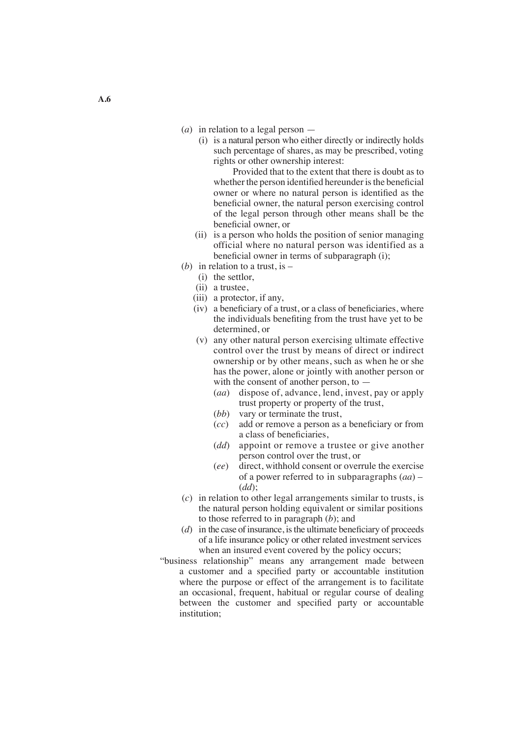- (*a*) in relation to a legal person
	- (i) is a natural person who either directly or indirectly holds such percentage of shares, as may be prescribed, voting rights or other ownership interest:

 Provided that to the extent that there is doubt as to whether the person identified hereunder is the beneficial owner or where no natural person is identified as the beneficial owner, the natural person exercising control of the legal person through other means shall be the beneficial owner, or

- (ii) is a person who holds the position of senior managing official where no natural person was identified as a beneficial owner in terms of subparagraph (i);
- (*b*) in relation to a trust, is
	- (i) the settlor,
	- (ii) a trustee,
	- (iii) a protector, if any,
	- (iv) a beneficiary of a trust, or a class of beneficiaries, where the individuals benefiting from the trust have yet to be determined, or
	- (v) any other natural person exercising ultimate effective control over the trust by means of direct or indirect ownership or by other means, such as when he or she has the power, alone or jointly with another person or with the consent of another person, to  $-$ 
		- (*aa*) dispose of, advance, lend, invest, pay or apply trust property or property of the trust,
		- (*bb*) vary or terminate the trust,
		- (*cc*) add or remove a person as a beneficiary or from a class of beneficiaries,
		- (*dd*) appoint or remove a trustee or give another person control over the trust, or
		- (*ee*) direct, withhold consent or overrule the exercise of a power referred to in subparagraphs (*aa*) – (*dd*);
- (*c*) in relation to other legal arrangements similar to trusts, is the natural person holding equivalent or similar positions to those referred to in paragraph (*b*); and
- $(d)$  in the case of insurance, is the ultimate beneficiary of proceeds of a life insurance policy or other related investment services when an insured event covered by the policy occurs;
- "business relationship" means any arrangement made between a customer and a specified party or accountable institution where the purpose or effect of the arrangement is to facilitate an occasional, frequent, habitual or regular course of dealing between the customer and specified party or accountable institution;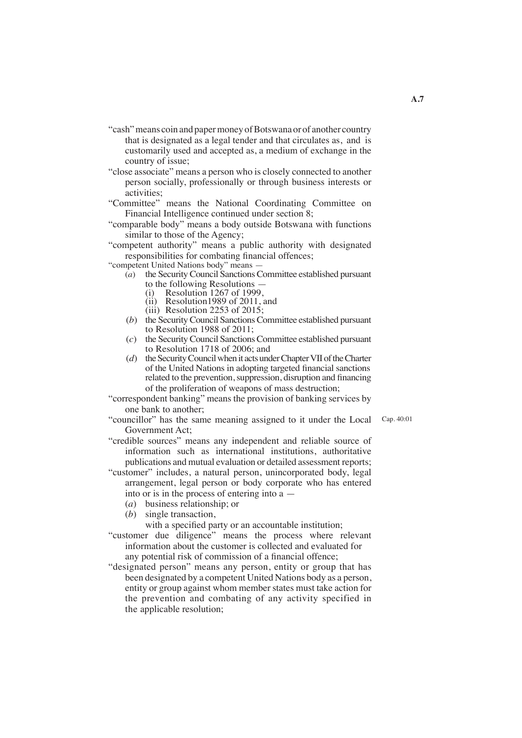- "cash" means coin and paper money of Botswana or of another country that is designated as a legal tender and that circulates as, and is customarily used and accepted as, a medium of exchange in the country of issue;
- "close associate" means a person who is closely connected to another person socially, professionally or through business interests or activities;
- "Committee" means the National Coordinating Committee on Financial Intelligence continued under section 8;
- "comparable body" means a body outside Botswana with functions similar to those of the Agency;
- "competent authority" means a public authority with designated responsibilities for combating financial offences;

"competent United Nations body" means —

- (*a*) the SecurityCouncil SanctionsCommittee established pursuant to the following Resolutions —<br>
(i) Resolution 1267 of 1999,<br>
(ii) Resolution 1989 of 2011, and
	-
	-
	- (iii) Resolution 2253 of 2015;
- (*b*) the SecurityCouncil SanctionsCommittee established pursuant to Resolution 1988 of 2011;
- (*c*) the SecurityCouncil SanctionsCommittee established pursuant to Resolution 1718 of 2006; and
- (*d*) the Security Council when it acts under Chapter VII of the Charter of the United Nations in adopting targeted financial sanctions related to the prevention, suppression, disruption and financing of the proliferation of weapons of mass destruction;
- "correspondent banking" means the provision of banking services by one bank to another;
- "councillor" has the same meaning assigned to it under the Local Cap. 40:01 Government Act;
- "credible sources" means any independent and reliable source of information such as international institutions, authoritative publications and mutual evaluation or detailed assessment reports;
- "customer" includes, a natural person, unincorporated body, legal arrangement, legal person or body corporate who has entered into or is in the process of entering into a —
	- (*a*) business relationship; or
	- (*b*) single transaction,
		- with a specified party or an accountable institution;
- "customer due diligence" means the process where relevant information about the customer is collected and evaluated for any potential risk of commission of a financial offence;
- "designated person" means any person, entity or group that has been designated by a competent United Nations body as a person, entity or group against whom member states must take action for the prevention and combating of any activity specified in the applicable resolution;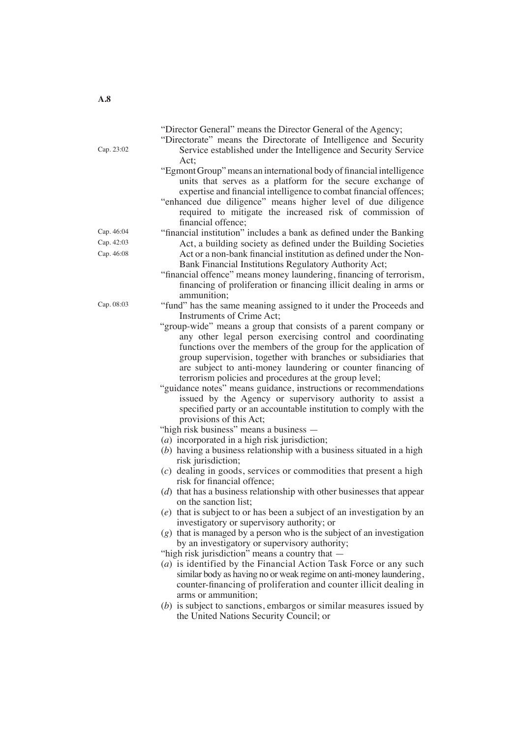"Director General" means the Director General of the Agency;

- "Directorate" means the Directorate of Intelligence and Security Service established under the Intelligence and Security Service Act;
- "EgmontGroup"means an international body of financial intelligence units that serves as a platform for the secure exchange of expertise and financial intelligence to combat financial offences;
- "enhanced due diligence" means higher level of due diligence required to mitigate the increased risk of commission of financial offence;
- "financial institution" includes a bank as defined under the Banking Act, a building society as defined under the Building Societies Act or a non-bank financial institution as defined under the Non-Bank Financial Institutions Regulatory Authority Act;
- "financial offence" means money laundering, financing of terrorism, financing of proliferation or financing illicit dealing in arms or ammunition;
- "fund" has the same meaning assigned to it under the Proceeds and Instruments of Crime Act;
- "group-wide" means a group that consists of a parent company or any other legal person exercising control and coordinating functions over the members of the group for the application of group supervision, together with branches or subsidiaries that are subject to anti-money laundering or counter financing of terrorism policies and procedures at the group level;
- "guidance notes" means guidance, instructions or recommendations issued by the Agency or supervisory authority to assist a specified party or an accountable institution to comply with the provisions of this Act;
- "high risk business" means a business —
- (*a*) incorporated in a high risk jurisdiction;
- (*b*) having a business relationship with a business situated in a high risk jurisdiction;
- (*c*) dealing in goods, services or commodities that present a high risk for financial offence;
- (*d*) that has a business relationship with other businesses that appear on the sanction list;
- (*e*) that is subject to or has been a subject of an investigation by an investigatory or supervisory authority; or
- (*g*) that is managed by a person who is the subject of an investigation by an investigatory or supervisory authority;
- "high risk jurisdiction" means a country that  $-$
- (*a*) is identified by the Financial Action Task Force or any such similar body as having no or weak regime on anti-money laundering, counter-financing of proliferation and counter illicit dealing in arms or ammunition;
- (*b*) is subject to sanctions, embargos or similar measures issued by the United Nations Security Council; or

Cap. 23:02

Cap. 46:04 Cap. 46:08 Cap. 42:03

Cap. 08:03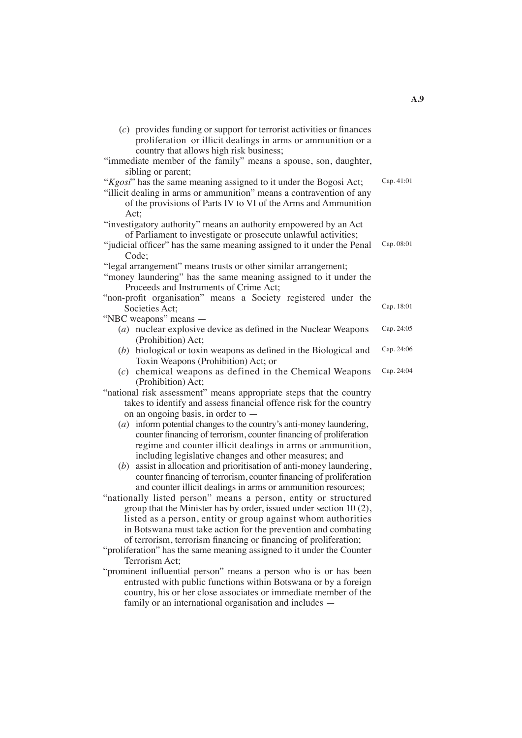| (c) provides funding or support for terrorist activities or finances<br>proliferation or illicit dealings in arms or ammunition or a |            |
|--------------------------------------------------------------------------------------------------------------------------------------|------------|
| country that allows high risk business;                                                                                              |            |
| "immediate member of the family" means a spouse, son, daughter,                                                                      |            |
| sibling or parent;                                                                                                                   |            |
| "Kgosi" has the same meaning assigned to it under the Bogosi Act;                                                                    | Cap. 41:01 |
| "illicit dealing in arms or ammunition" means a contravention of any                                                                 |            |
| of the provisions of Parts IV to VI of the Arms and Ammunition                                                                       |            |
| Act:                                                                                                                                 |            |
| "investigatory authority" means an authority empowered by an Act                                                                     |            |
| of Parliament to investigate or prosecute unlawful activities;                                                                       |            |
| "judicial officer" has the same meaning assigned to it under the Penal                                                               | Cap. 08:01 |
| Code;                                                                                                                                |            |
| "legal arrangement" means trusts or other similar arrangement;                                                                       |            |
| "money laundering" has the same meaning assigned to it under the                                                                     |            |
| Proceeds and Instruments of Crime Act;                                                                                               |            |
| "non-profit organisation" means a Society registered under the                                                                       |            |
| Societies Act;                                                                                                                       | Cap. 18:01 |
| "NBC weapons" means —                                                                                                                |            |
| $(a)$ nuclear explosive device as defined in the Nuclear Weapons                                                                     | Cap. 24:05 |
| (Prohibition) Act;                                                                                                                   |            |
| $(b)$ biological or toxin weapons as defined in the Biological and                                                                   | Cap. 24:06 |
| Toxin Weapons (Prohibition) Act; or                                                                                                  |            |
| $(c)$ chemical weapons as defined in the Chemical Weapons                                                                            | Cap. 24:04 |
| (Prohibition) Act;                                                                                                                   |            |
| "national risk assessment" means appropriate steps that the country                                                                  |            |
| takes to identify and assess financial offence risk for the country                                                                  |            |
| on an ongoing basis, in order to -                                                                                                   |            |
| $(a)$ inform potential changes to the country's anti-money laundering,                                                               |            |
| counter financing of terrorism, counter financing of proliferation                                                                   |            |
| regime and counter illicit dealings in arms or ammunition,                                                                           |            |
| including legislative changes and other measures; and                                                                                |            |
| $(b)$ assist in allocation and prioritisation of anti-money laundering,                                                              |            |
| counter financing of terrorism, counter financing of proliferation                                                                   |            |
| and counter illicit dealings in arms or ammunition resources;                                                                        |            |
| "nationally listed person" means a person, entity or structured                                                                      |            |
| group that the Minister has by order, issued under section 10 (2),                                                                   |            |
| listed as a person, entity or group against whom authorities                                                                         |            |
| in Botswana must take action for the prevention and combating                                                                        |            |
| of terrorism, terrorism financing or financing of proliferation;                                                                     |            |
| "proliferation" has the same meaning assigned to it under the Counter                                                                |            |
| Terrorism Act;                                                                                                                       |            |
| "prominent influential person" means a person who is or has been                                                                     |            |
| entrusted with public functions within Botswana or by a foreign                                                                      |            |
| country, his or her close associates or immediate member of the                                                                      |            |
|                                                                                                                                      |            |

family or an international organisation and includes —

08:01

**A.9**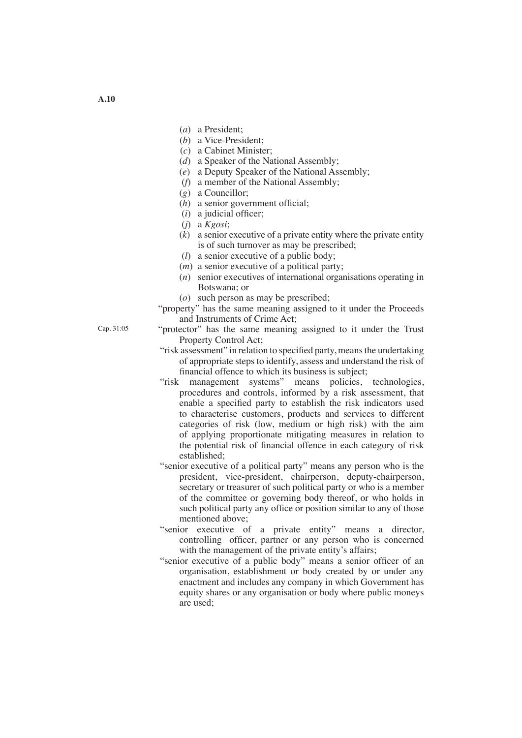- (*a*) a President;
- (*b*) a Vice-President;
- (*c*) a Cabinet Minister;
- (*d*) a Speaker of the National Assembly;
- (*e*) a Deputy Speaker of the National Assembly;
- (*f*) a member of the National Assembly;
- (*g*) a Councillor;
- (*h*) a senior government official;
- (*i*) a judicial officer;
- (*j*) a *Kgosi*;
- (*k*) a senior executive of a private entity where the private entity is of such turnover as may be prescribed;
- (*l*) a senior executive of a public body;
- (*m*) a senior executive of a political party;
- (*n*) senior executives of international organisations operating in Botswana; or
- (*o*) such person as may be prescribed;
- "property" has the same meaning assigned to it under the Proceeds and Instruments of Crime Act;
- "protector" has the same meaning assigned to it under the Trust Property Control Act;
- "risk assessment" in relation to specified party, means the undertaking of appropriate steps to identify, assess and understand the risk of financial offence to which its business is subject;
- "risk management systems" means policies, technologies, procedures and controls, informed by a risk assessment, that enable a specified party to establish the risk indicators used to characterise customers, products and services to different categories of risk (low, medium or high risk) with the aim of applying proportionate mitigating measures in relation to the potential risk of financial offence in each category of risk established;
- "senior executive of a political party" means any person who is the president, vice-president, chairperson, deputy-chairperson, secretary or treasurer of such political party or who is a member of the committee or governing body thereof, or who holds in such political party any office or position similar to any of those mentioned above;
- "senior executive of a private entity" means a director, controlling officer, partner or any person who is concerned with the management of the private entity's affairs;
- "senior executive of a public body" means a senior officer of an organisation, establishment or body created by or under any enactment and includes any company in which Government has equity shares or any organisation or body where public moneys are used;

Cap. 31:05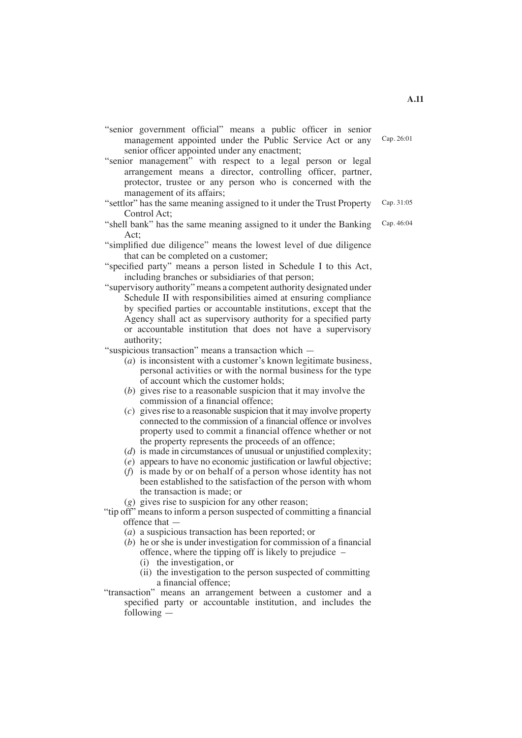- "senior government official" means a public officer in senior management appointed under the Public Service Act or any senior officer appointed under any enactment; Cap. 26:01
- "senior management" with respect to a legal person or legal arrangement means a director, controlling officer, partner, protector, trustee or any person who is concerned with the management of its affairs;
- "settlor" has the same meaning assigned to it under the Trust Property Control Act;
- "shell bank" has the same meaning assigned to it under the Banking Act;
- "simplified due diligence" means the lowest level of due diligence that can be completed on a customer;
- "specified party" means a person listed in Schedule I to this Act, including branches or subsidiaries of that person;
- "supervisory authority" means a competent authority designated under Schedule II with responsibilities aimed at ensuring compliance by specified parties or accountable institutions, except that the Agency shall act as supervisory authority for a specified party or accountable institution that does not have a supervisory authority;

"suspicious transaction" means a transaction which —

- $(a)$  is inconsistent with a customer's known legitimate business, personal activities or with the normal business for the type of account which the customer holds;
- (*b*) gives rise to a reasonable suspicion that it may involve the commission of a financial offence;
- $(c)$  gives rise to a reasonable suspicion that it may involve property connected to the commission of a financial offence or involves property used to commit a financial offence whether or not the property represents the proceeds of an offence;
- (*d*) is made in circumstances of unusual or unjustified complexity;
- (*e*) appears to have no economic justification or lawful objective;
- (*f*) is made by or on behalf of a person whose identity has not been established to the satisfaction of the person with whom the transaction is made; or
- (*g*) gives rise to suspicion for any other reason;
- "tip off" means to inform a person suspected of committing a financial offence that —
	- (*a*) a suspicious transaction has been reported; or
	- (*b*) he or she is under investigation for commission of a financial offence, where the tipping off is likely to prejudice –
		- (i) the investigation, or
		- (ii) the investigation to the person suspected of committing a financial offence;
- "transaction" means an arrangement between a customer and a specified party or accountable institution, and includes the following —

Cap. 31:05

Cap. 46:04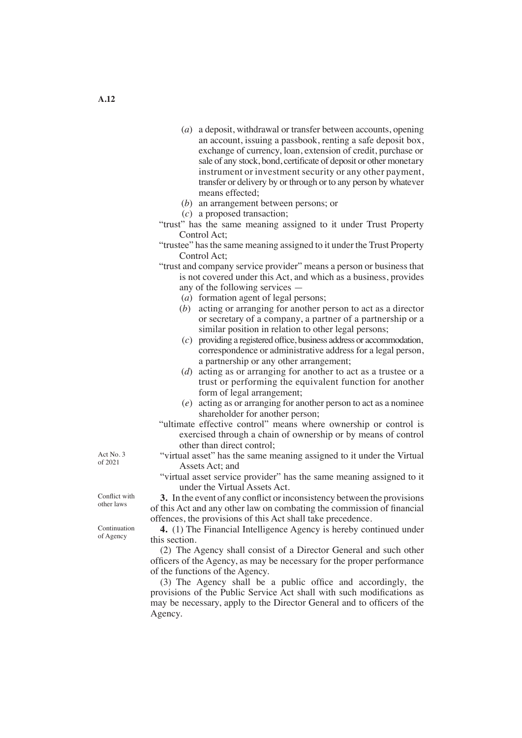- (*a*) a deposit, withdrawal or transfer between accounts, opening an account, issuing a passbook, renting a safe deposit box, exchange of currency, loan, extension of credit, purchase or sale of any stock, bond, certificate of deposit or other monetary instrument or investment security or any other payment, transfer or delivery by or through or to any person by whatever means effected;
- (*b*) an arrangement between persons; or
- (*c*) a proposed transaction;
- "trust" has the same meaning assigned to it under Trust Property Control Act;
- "trustee" hasthe same meaning assigned to it under the Trust Property Control Act;
- "trust and company service provider" means a person or business that is not covered under this Act, and which as a business, provides any of the following services —
	- (*a*) formation agent of legal persons;
	- (*b*) acting or arranging for another person to act as a director or secretary of a company, a partner of a partnership or a similar position in relation to other legal persons;
	- (*c*) providing a registered office, business address or accommodation, correspondence or administrative address for a legal person, a partnership or any other arrangement;
	- (*d*) acting as or arranging for another to act as a trustee or a trust or performing the equivalent function for another form of legal arrangement;
	- (*e*) acting as or arranging for another person to act as a nominee shareholder for another person;
- "ultimate effective control" means where ownership or control is exercised through a chain of ownership or by means of control other than direct control;
- "virtual asset" has the same meaning assigned to it under the Virtual Assets Act; and
- "virtual asset service provider" has the same meaning assigned to it under the Virtual Assets Act.

**3.** In the event of any conflict or inconsistency between the provisions of this Act and any other law on combating the commission of financial offences, the provisions of this Act shall take precedence.

**4.** (1) The Financial Intelligence Agency is hereby continued under this section.

 (2) The Agency shall consist of a Director General and such other officers of the Agency, as may be necessary for the proper performance of the functions of the Agency.

 (3) The Agency shall be a public office and accordingly, the provisions of the Public Service Act shall with such modifications as may be necessary, apply to the Director General and to officers of the Agency.

Act No. 3 of 2021

Conflict with other laws

Continuation of Agency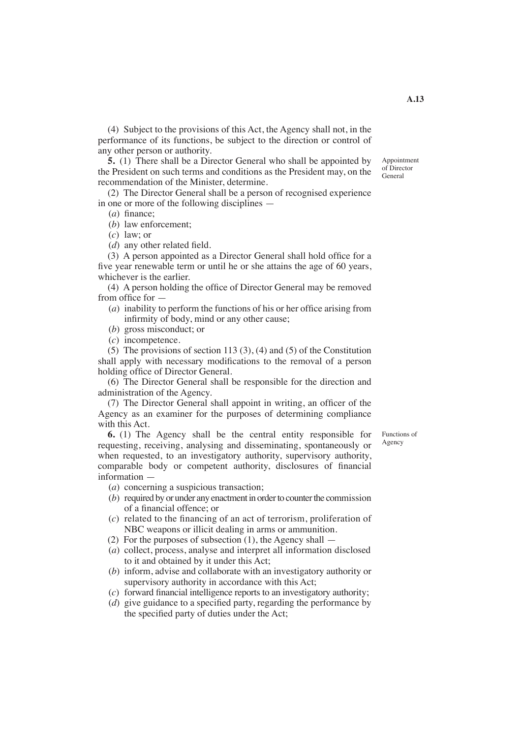(4) Subject to the provisions of this Act, the Agency shall not, in the performance of its functions, be subject to the direction or control of any other person or authority.

**5.** (1) There shall be a Director General who shall be appointed by the President on such terms and conditions as the President may, on the recommendation of the Minister, determine.

 (2) The Director General shall be a person of recognised experience in one or more of the following disciplines —

(*a*) finance; (*b*) law enforcement;

(*c*) law; or

(*d*) any other related field.

 (3) A person appointed as a Director General shall hold office for a five year renewable term or until he or she attains the age of 60 years, whichever is the earlier.

 (4) A person holding the office of Director General may be removed from office for —

- (*a*) inability to perform the functions of his or her office arising from infirmity of body, mind or any other cause;
- (*b*) gross misconduct; or
- (*c*) incompetence.

 (5) The provisions of section 113 (3), (4) and (5) of the Constitution shall apply with necessary modifications to the removal of a person holding office of Director General.

 (6) The Director General shall be responsible for the direction and administration of the Agency.

 (7) The Director General shall appoint in writing, an officer of the Agency as an examiner for the purposes of determining compliance with this Act.

> Functions of Agency

**6.** (1) The Agency shall be the central entity responsible for requesting, receiving, analysing and disseminating, spontaneously or when requested, to an investigatory authority, supervisory authority, comparable body or competent authority, disclosures of financial information —

(*a*) concerning a suspicious transaction;

- $(b)$  required by or under any enactment in order to counter the commission of a financial offence; or
- (*c*) related to the financing of an act of terrorism, proliferation of NBC weapons or illicit dealing in arms or ammunition.
- (2) For the purposes of subsection  $(1)$ , the Agency shall  $-$
- (*a*) collect, process, analyse and interpret all information disclosed to it and obtained by it under this Act;
- (*b*) inform, advise and collaborate with an investigatory authority or supervisory authority in accordance with this Act;
- (*c*) forward financial intelligence reports to an investigatory authority;
- (*d*) give guidance to a specified party, regarding the performance by the specified party of duties under the Act;

Appointment of Director General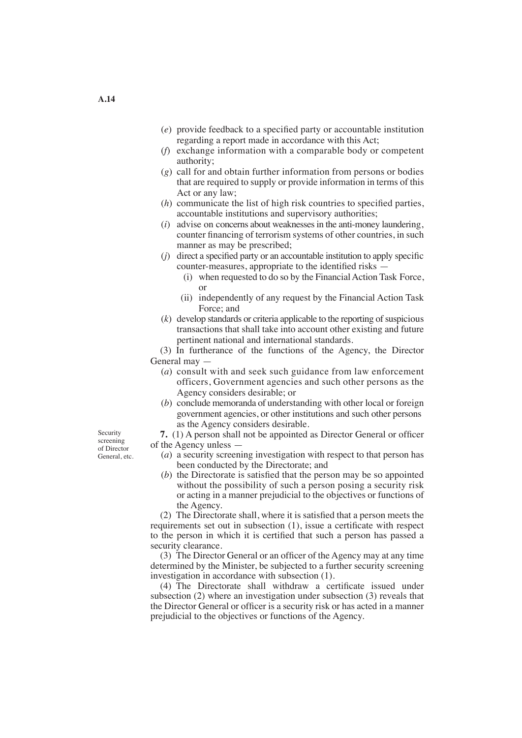- (*e*) provide feedback to a specified party or accountable institution regarding a report made in accordance with this Act;
- (*f*) exchange information with a comparable body or competent authority;
- (*g*) call for and obtain further information from persons or bodies that are required to supply or provide information in terms of this Act or any law;
- (*h*) communicate the list of high risk countries to specified parties, accountable institutions and supervisory authorities;
- (*i*) advise on concerns about weaknessesin the anti-money laundering, counter financing of terrorism systems of other countries, in such manner as may be prescribed;
- (*j*) direct a specified party or an accountable institution to apply specific counter-measures, appropriate to the identified risks —
	- (i) when requested to do so by the Financial Action Task Force, or
	- (ii) independently of any request by the Financial Action Task Force; and
- $(k)$  develop standards or criteria applicable to the reporting of suspicious transactions that shall take into account other existing and future pertinent national and international standards.

 (3) In furtherance of the functions of the Agency, the Director General may —

- (*a*) consult with and seek such guidance from law enforcement officers, Government agencies and such other persons as the Agency considers desirable; or
- (*b*) conclude memoranda of understanding with other local or foreign government agencies, or other institutions and such other persons as the Agency considers desirable.

**7.** (1) A person shall not be appointed as Director General or officer of the Agency unless —

- (*a*) a security screening investigation with respect to that person has been conducted by the Directorate; and
- (*b*) the Directorate is satisfied that the person may be so appointed without the possibility of such a person posing a security risk or acting in a manner prejudicial to the objectives or functions of the Agency.

 (2) The Directorate shall, where it is satisfied that a person meets the requirements set out in subsection (1), issue a certificate with respect to the person in which it is certified that such a person has passed a security clearance.

 (3) The Director General or an officer of the Agency may at any time determined by the Minister, be subjected to a further security screening investigation in accordance with subsection (1).

 (4) The Directorate shall withdraw a certificate issued under subsection (2) where an investigation under subsection (3) reveals that the Director General or officer is a security risk or has acted in a manner prejudicial to the objectives or functions of the Agency.

Security screening of Director General, etc.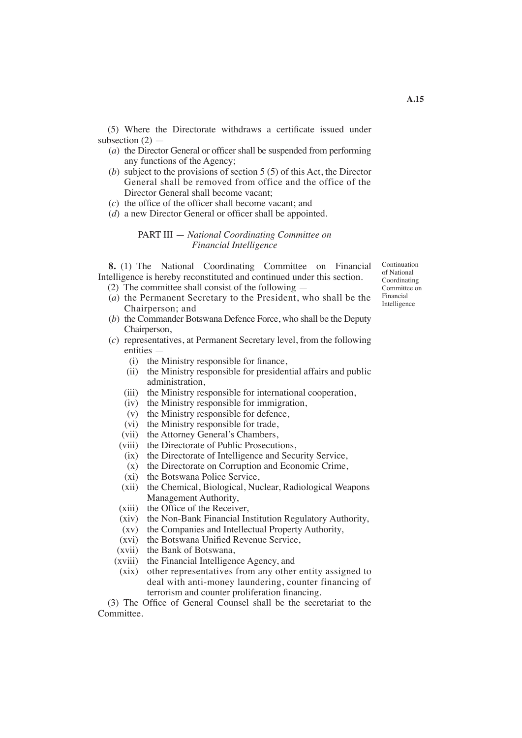(5) Where the Directorate withdraws a certificate issued under subsection  $(2)$  —

- (*a*) the Director General or officer shall be suspended from performing any functions of the Agency;
- (*b*) subject to the provisions of section 5 (5) of this Act, the Director General shall be removed from office and the office of the Director General shall become vacant;
- (*c*) the office of the officer shall become vacant; and
- (*d*) a new Director General or officer shall be appointed.

## PART III — *National Coordinating Committee on Financial Intelligence*

**8.** (1) The National Coordinating Committee on Financial Intelligence is hereby reconstituted and continued under this section.

- (2) The committee shall consist of the following —
- (*a*) the Permanent Secretary to the President, who shall be the Chairperson; and
- (*b*) the Commander Botswana Defence Force, who shall be the Deputy Chairperson,
- (*c*) representatives, at Permanent Secretary level, from the following entities —
	- (i) the Ministry responsible for finance,
	- (ii) the Ministry responsible for presidential affairs and public administration,
	- (iii) the Ministry responsible for international cooperation,
	- (iv) the Ministry responsible for immigration,
	- (v) the Ministry responsible for defence,
	- (vi) the Ministry responsible for trade,
	- (vii) the Attorney General's Chambers,
	- (viii) the Directorate of Public Prosecutions,
		- (ix) the Directorate of Intelligence and Security Service,
		- (x) the Directorate on Corruption and Economic Crime,
		- (xi) the Botswana Police Service,
	- (xii) the Chemical, Biological, Nuclear, Radiological Weapons Management Authority,
	- (xiii) the Office of the Receiver,
	- (xiv) the Non-Bank Financial Institution Regulatory Authority,
	- (xv) the Companies and Intellectual Property Authority,
	- (xvi) the Botswana Unified Revenue Service,
	- (xvii) the Bank of Botswana,
	- (xviii) the Financial Intelligence Agency, and
	- (xix) other representatives from any other entity assigned to deal with anti-money laundering, counter financing of terrorism and counter proliferation financing.

 (3) The Office of General Counsel shall be the secretariat to the Committee.

Continuation of National Coordinating Committee on Financial Intelligence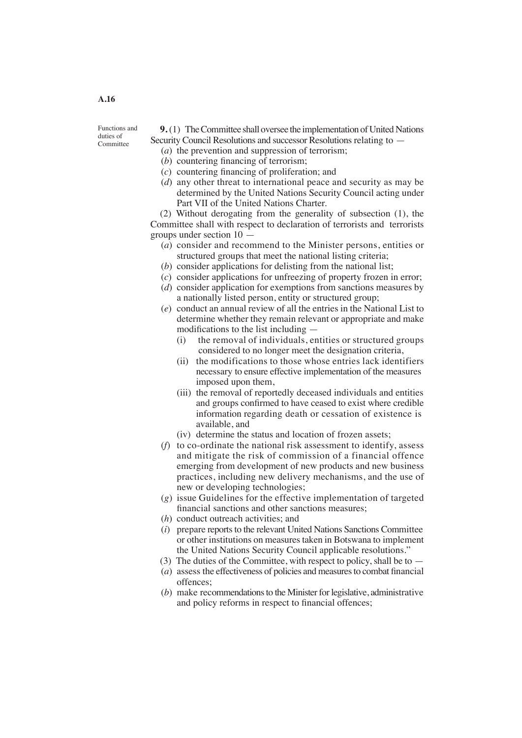Functions and duties of **Committee** 

**9.** (1) The Committee shall oversee the implementation of United Nations Security Council Resolutions and successor Resolutions relating to —

- (*a*) the prevention and suppression of terrorism;
- (*b*) countering financing of terrorism;
- (*c*) countering financing of proliferation; and
- (*d*) any other threat to international peace and security as may be determined by the United Nations Security Council acting under Part VII of the United Nations Charter.

 (2) Without derogating from the generality of subsection (1), the Committee shall with respect to declaration of terrorists and terrorists groups under section 10 —

- (*a*) consider and recommend to the Minister persons, entities or structured groups that meet the national listing criteria;
- (*b*) consider applications for delisting from the national list;
- (*c*) consider applications for unfreezing of property frozen in error;
- (*d*) consider application for exemptions from sanctions measures by a nationally listed person, entity or structured group;
- (*e*) conduct an annual review of all the entries in the National List to determine whether they remain relevant or appropriate and make modifications to the list including —
	- (i) the removal of individuals, entities or structured groups considered to no longer meet the designation criteria,
	- (ii) the modifications to those whose entries lack identifiers necessary to ensure effective implementation of the measures imposed upon them,
	- (iii) the removal of reportedly deceased individuals and entities and groups confirmed to have ceased to exist where credible information regarding death or cessation of existence is available, and
	- (iv) determine the status and location of frozen assets;
- (*f*) to co-ordinate the national risk assessment to identify, assess and mitigate the risk of commission of a financial offence emerging from development of new products and new business practices, including new delivery mechanisms, and the use of new or developing technologies;
- (*g*) issue Guidelines for the effective implementation of targeted financial sanctions and other sanctions measures;
- (*h*) conduct outreach activities; and
- (*i*) prepare reports to the relevant United Nations Sanctions Committee or other institutions on measures taken in Botswana to implement the United Nations Security Council applicable resolutions."
- (3) The duties of the Committee, with respect to policy, shall be to —
- $(a)$  assess the effectiveness of policies and measures to combat financial offences;
- $(b)$  make recommendations to the Minister for legislative, administrative and policy reforms in respect to financial offences;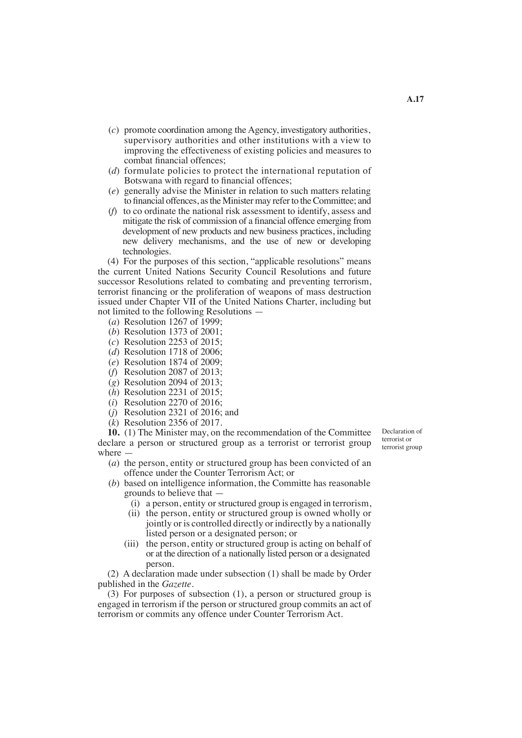- (*c*) promote coordination among the Agency, investigatory authorities, supervisory authorities and other institutions with a view to improving the effectiveness of existing policies and measures to combat financial offences;
- (*d*) formulate policies to protect the international reputation of Botswana with regard to financial offences;
- (*e*) generally advise the Minister in relation to such matters relating to financial offences, asthe Minister may referto theCommittee; and
- (*f*) to co ordinate the national risk assessment to identify, assess and mitigate the risk of commission of a financial offence emerging from development of new products and new business practices, including new delivery mechanisms, and the use of new or developing technologies.

 (4) For the purposes of this section, "applicable resolutions" means the current United Nations Security Council Resolutions and future successor Resolutions related to combating and preventing terrorism, terrorist financing or the proliferation of weapons of mass destruction issued under Chapter VII of the United Nations Charter, including but not limited to the following Resolutions —

- (*a*) Resolution 1267 of 1999;
- (*b*) Resolution 1373 of 2001;
- (*c*) Resolution 2253 of 2015;
- (*d*) Resolution 1718 of 2006;
- (*e*) Resolution 1874 of 2009;
- (*f*) Resolution 2087 of 2013;
- (*g*) Resolution 2094 of 2013;
- (*h*) Resolution 2231 of 2015;
- (*i*) Resolution 2270 of 2016;
- (*j*) Resolution 2321 of 2016; and
- (*k*) Resolution 2356 of 2017.

**10.** (1) The Minister may, on the recommendation of the Committee declare a person or structured group as a terrorist or terrorist group where —

Declaration of terrorist or terrorist group

- (*a*) the person, entity or structured group has been convicted of an offence under the Counter Terrorism Act; or
- (*b*) based on intelligence information, the Committe has reasonable grounds to believe that —
	- (i) a person, entity or structured group is engaged in terrorism,
	- (ii) the person, entity or structured group is owned wholly or jointly or is controlled directly or indirectly by a nationally listed person or a designated person; or
	- (iii) the person, entity or structured group is acting on behalf of or at the direction of a nationally listed person or a designated person.

 (2) A declaration made under subsection (1) shall be made by Order published in the *Gazette*.

 (3) For purposes of subsection (1), a person or structured group is engaged in terrorism if the person or structured group commits an act of terrorism or commits any offence under Counter Terrorism Act.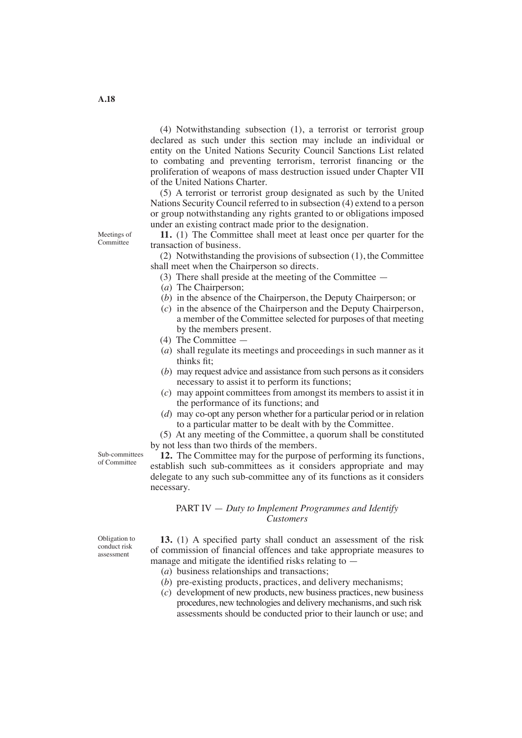(4) Notwithstanding subsection (1), a terrorist or terrorist group declared as such under this section may include an individual or entity on the United Nations Security Council Sanctions List related to combating and preventing terrorism, terrorist financing or the proliferation of weapons of mass destruction issued under Chapter VII of the United Nations Charter.

 (5) A terrorist or terrorist group designated as such by the United Nations Security Council referred to in subsection (4) extend to a person or group notwithstanding any rights granted to or obligations imposed under an existing contract made prior to the designation.

**11.** (1) The Committee shall meet at least once per quarter for the transaction of business.

 (2) Notwithstanding the provisions of subsection (1), the Committee shall meet when the Chairperson so directs.

- (3) There shall preside at the meeting of the Committee —
- (*a*) The Chairperson;
- (*b*) in the absence of the Chairperson, the Deputy Chairperson; or
- (*c*) in the absence of the Chairperson and the Deputy Chairperson, a member of the Committee selected for purposes of that meeting by the members present.
- (4) The Committee —
- (*a*) shall regulate its meetings and proceedings in such manner as it thinks fit;
- (*b*) may request advice and assistance from such persons as it considers necessary to assist it to perform its functions;
- (*c*) may appoint committees from amongst its members to assist it in the performance of its functions; and
- (*d*) may co-opt any person whether for a particular period or in relation to a particular matter to be dealt with by the Committee.

 (5) At any meeting of the Committee, a quorum shall be constituted by not less than two thirds of the members.

Sub-committees of Committee

**12.** The Committee may for the purpose of performing its functions, establish such sub-committees as it considers appropriate and may delegate to any such sub-committee any of its functions as it considers necessary.

PART IV — *Duty to Implement Programmes and Identify Customers*

Obligation to conduct risk assessment

**13.** (1) A specified party shall conduct an assessment of the risk of commission of financial offences and take appropriate measures to manage and mitigate the identified risks relating to —

- (*a*) business relationships and transactions;
- (*b*) pre-existing products, practices, and delivery mechanisms;
- (*c*) development of new products, new business practices, new business procedures, new technologies and delivery mechanisms, and such risk assessments should be conducted prior to their launch or use; and

Meetings of Committee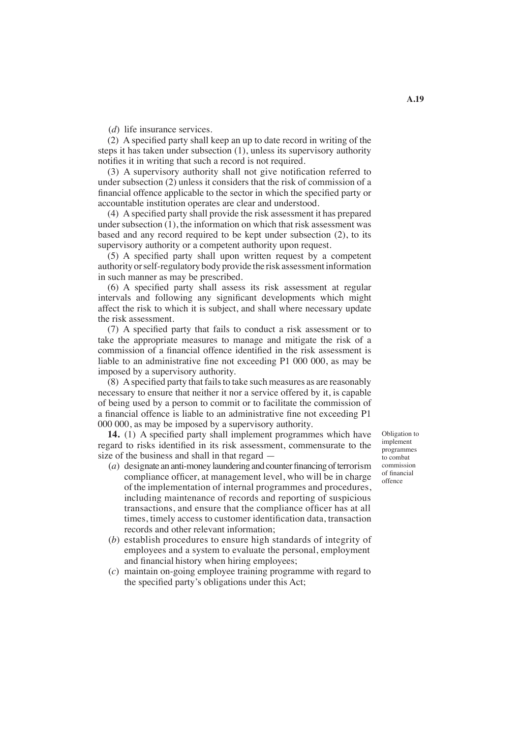(*d*) life insurance services.

 (2) A specified party shall keep an up to date record in writing of the steps it has taken under subsection (1), unless its supervisory authority notifies it in writing that such a record is not required.

 (3) A supervisory authority shall not give notification referred to under subsection (2) unless it considers that the risk of commission of a financial offence applicable to the sector in which the specified party or accountable institution operates are clear and understood.

 (4) Aspecified party shall provide the risk assessment it has prepared under subsection (1), the information on which that risk assessment was based and any record required to be kept under subsection (2), to its supervisory authority or a competent authority upon request.

 (5) A specified party shall upon written request by a competent authority orself-regulatory body provide the risk assessmentinformation in such manner as may be prescribed.

 (6) A specified party shall assess its risk assessment at regular intervals and following any significant developments which might affect the risk to which it is subject, and shall where necessary update the risk assessment.

 (7) A specified party that fails to conduct a risk assessment or to take the appropriate measures to manage and mitigate the risk of a commission of a financial offence identified in the risk assessment is liable to an administrative fine not exceeding P1 000 000, as may be imposed by a supervisory authority.

(8) A specified party that fails to take such measures as are reasonably necessary to ensure that neither it nor a service offered by it, is capable of being used by a person to commit or to facilitate the commission of a financial offence is liable to an administrative fine not exceeding P1 000 000, as may be imposed by a supervisory authority.

**14.** (1) A specified party shall implement programmes which have regard to risks identified in its risk assessment, commensurate to the size of the business and shall in that regard —

- $(a)$  designate an anti-money laundering and counter financing of terrorism compliance officer, at management level, who will be in charge of the implementation of internal programmes and procedures, including maintenance of records and reporting of suspicious transactions, and ensure that the compliance officer has at all times, timely access to customer identification data, transaction records and other relevant information;
- (*b*) establish procedures to ensure high standards of integrity of employees and a system to evaluate the personal, employment and financial history when hiring employees;
- (*c*) maintain on-going employee training programme with regard to the specified party's obligations under this Act;

Obligation to implement programmes to combat commission of financial offence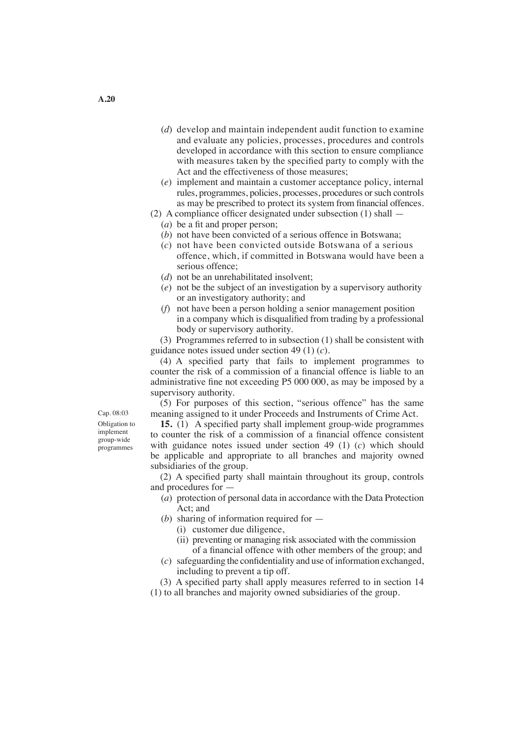- (*d*) develop and maintain independent audit function to examine and evaluate any policies, processes, procedures and controls developed in accordance with this section to ensure compliance with measures taken by the specified party to comply with the Act and the effectiveness of those measures;
- (*e*) implement and maintain a customer acceptance policy, internal rules, programmes, policies, processes, procedures or such controls as may be prescribed to protect its system from financial offences.
- (2) A compliance officer designated under subsection (1) shall
	- (*a*) be a fit and proper person;
	- (*b*) not have been convicted of a serious offence in Botswana;
	- (*c*) not have been convicted outside Botswana of a serious offence, which, if committed in Botswana would have been a serious offence;
	- (*d*) not be an unrehabilitated insolvent;
	- (*e*) not be the subject of an investigation by a supervisory authority or an investigatory authority; and
	- (*f*) not have been a person holding a senior management position in a company which is disqualified from trading by a professional body or supervisory authority.

 (3) Programmes referred to in subsection (1) shall be consistent with guidance notes issued under section 49 (1) (*c*).

 (4) A specified party that fails to implement programmes to counter the risk of a commission of a financial offence is liable to an administrative fine not exceeding P5 000 000, as may be imposed by a supervisory authority.

 (5) For purposes of this section, "serious offence" has the same meaning assigned to it under Proceeds and Instruments of Crime Act.

**15.** (1) A specified party shall implement group-wide programmes to counter the risk of a commission of a financial offence consistent with guidance notes issued under section 49 (1) (*c*) which should be applicable and appropriate to all branches and majority owned subsidiaries of the group.

 (2) A specified party shall maintain throughout its group, controls and procedures for —

- (*a*) protection of personal data in accordance with the Data Protection Act; and
- (*b*) sharing of information required for
	- (i) customer due diligence,
	- (ii) preventing or managing risk associated with the commission of a financial offence with other members of the group; and
- $(c)$  safeguarding the confidentiality and use of information exchanged, including to prevent a tip off.

 (3) A specified party shall apply measures referred to in section 14 (1) to all branches and majority owned subsidiaries of the group.

Obligation to implement group-wide programmes Cap. 08:03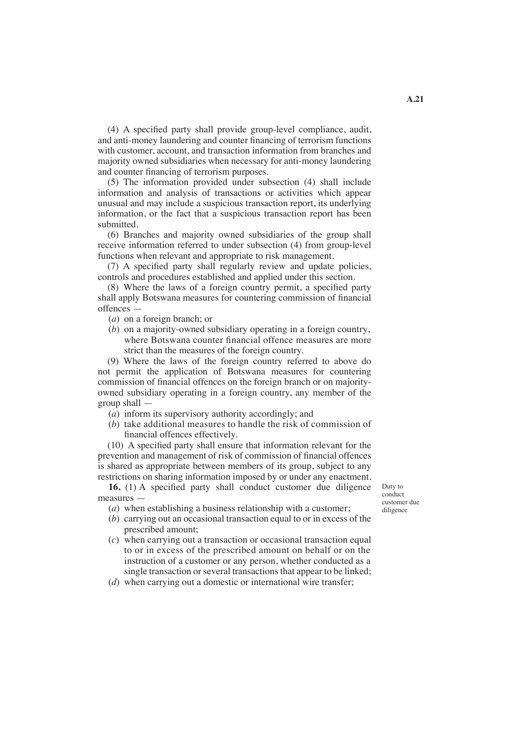(4) A specified party shall provide group-level compliance, audit, and anti-money laundering and counter financing of terrorism functions with customer, account, and transaction information from branches and majority owned subsidiaries when necessary for anti-money laundering and counter financing of terrorism purposes.

 (5) The information provided under subsection (4) shall include information and analysis of transactions or activities which appear unusual and may include a suspicious transaction report, its underlying information, or the fact that a suspicious transaction report has been submitted.

 (6) Branches and majority owned subsidiaries of the group shall receive information referred to under subsection (4) from group-level functions when relevant and appropriate to risk management.

 (7) A specified party shall regularly review and update policies, controls and procedures established and applied under this section.

 (8) Where the laws of a foreign country permit, a specified party shall apply Botswana measures for countering commission of financial offences —

- (*a*) on a foreign branch; or
- (*b*) on a majority-owned subsidiary operating in a foreign country, where Botswana counter financial offence measures are more strict than the measures of the foreign country.

 (9) Where the laws of the foreign country referred to above do not permit the application of Botswana measures for countering commission of financial offences on the foreign branch or on majorityowned subsidiary operating in a foreign country, any member of the group shall —

- (*a*) inform its supervisory authority accordingly; and
- (*b*) take additional measures to handle the risk of commission of financial offences effectively.

 (10) A specified party shall ensure that information relevant for the prevention and management of risk of commission of financial offences is shared as appropriate between members of its group, subject to any restrictions on sharing information imposed by or under any enactment.

**16.** (1) A specified party shall conduct customer due diligence measures —

(*a*) when establishing a business relationship with a customer;

- (*b*) carrying out an occasional transaction equal to or in excess of the prescribed amount;
- (*c*) when carrying out a transaction or occasional transaction equal to or in excess of the prescribed amount on behalf or on the instruction of a customer or any person, whether conducted as a single transaction or several transactions that appear to be linked;
- (*d*) when carrying out a domestic or international wire transfer;

Duty to conduct customer due diligence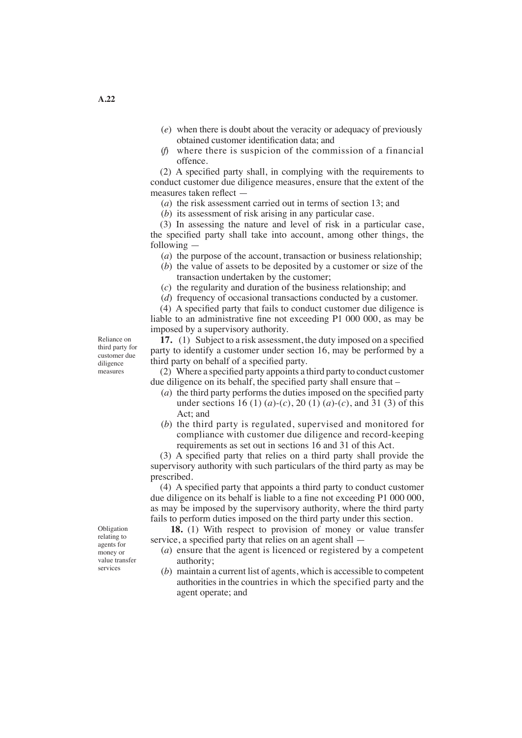- (*e*) when there is doubt about the veracity or adequacy of previously obtained customer identification data; and
- (*f*) where there is suspicion of the commission of a financial offence.

 (2) A specified party shall, in complying with the requirements to conduct customer due diligence measures, ensure that the extent of the measures taken reflect —

(*a*) the risk assessment carried out in terms of section 13; and

(*b*) its assessment of risk arising in any particular case.

 (3) In assessing the nature and level of risk in a particular case, the specified party shall take into account, among other things, the following —

- (*a*) the purpose of the account, transaction or business relationship;
- (*b*) the value of assets to be deposited by a customer or size of the transaction undertaken by the customer;
- (*c*) the regularity and duration of the business relationship; and
- (*d*) frequency of occasional transactions conducted by a customer.

 (4) A specified party that fails to conduct customer due diligence is liable to an administrative fine not exceeding P1 000 000, as may be imposed by a supervisory authority.

**17.** (1) Subject to a risk assessment, the duty imposed on a specified party to identify a customer under section 16, may be performed by a third party on behalf of a specified party.

 (2) Where a specified party appoints a third party to conduct customer due diligence on its behalf, the specified party shall ensure that –

- (*a*) the third party performs the duties imposed on the specified party under sections 16 (1) (*a*)-(*c*), 20 (1) (*a*)-(*c*), and 31 (3) of this Act; and
- (*b*) the third party is regulated, supervised and monitored for compliance with customer due diligence and record-keeping requirements as set out in sections 16 and 31 of this Act.

 (3) A specified party that relies on a third party shall provide the supervisory authority with such particulars of the third party as may be prescribed.

 (4) A specified party that appoints a third party to conduct customer due diligence on its behalf is liable to a fine not exceeding P1 000 000, as may be imposed by the supervisory authority, where the third party fails to perform duties imposed on the third party under this section.

 **18.** (1) With respect to provision of money or value transfer service, a specified party that relies on an agent shall —

- (*a*) ensure that the agent is licenced or registered by a competent authority;
- (*b*) maintain a current list of agents, which is accessible to competent authorities in the countries in which the specified party and the agent operate; and

Reliance on third party for customer due diligence measures

Obligation relating to agents for money or value transfer services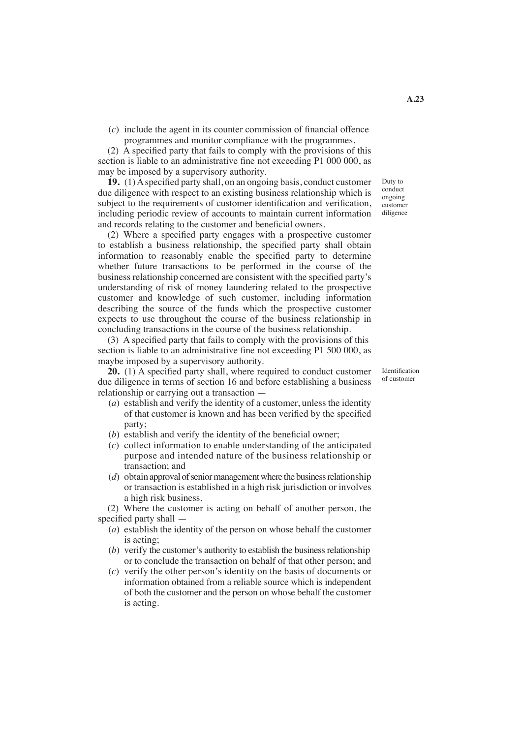(*c*) include the agent in its counter commission of financial offence programmes and monitor compliance with the programmes.

 (2) A specified party that fails to comply with the provisions of this section is liable to an administrative fine not exceeding P1 000 000, as may be imposed by a supervisory authority.

**19.** (1)Aspecified party shall, on an ongoing basis, conduct customer due diligence with respect to an existing business relationship which is subject to the requirements of customer identification and verification, including periodic review of accounts to maintain current information and records relating to the customer and beneficial owners.

 (2) Where a specified party engages with a prospective customer to establish a business relationship, the specified party shall obtain information to reasonably enable the specified party to determine whether future transactions to be performed in the course of the business relationship concerned are consistent with the specified party's understanding of risk of money laundering related to the prospective customer and knowledge of such customer, including information describing the source of the funds which the prospective customer expects to use throughout the course of the business relationship in concluding transactions in the course of the business relationship.

 (3) A specified party that fails to comply with the provisions of this section is liable to an administrative fine not exceeding P1 500 000, as maybe imposed by a supervisory authority.

**20.** (1) A specified party shall, where required to conduct customer due diligence in terms of section 16 and before establishing a business relationship or carrying out a transaction —

- (*a*) establish and verify the identity of a customer, unless the identity of that customer is known and has been verified by the specified party;
- (*b*) establish and verify the identity of the beneficial owner;
- (*c*) collect information to enable understanding of the anticipated purpose and intended nature of the business relationship or transaction; and
- $(d)$  obtain approval of senior management where the business relationship or transaction is established in a high risk jurisdiction or involves a high risk business.

 (2) Where the customer is acting on behalf of another person, the specified party shall —

- (*a*) establish the identity of the person on whose behalf the customer is acting;
- $(b)$  verify the customer's authority to establish the business relationship or to conclude the transaction on behalf of that other person; and
- (*c*) verify the other person's identity on the basis of documents or information obtained from a reliable source which is independent of both the customer and the person on whose behalf the customer is acting.

Identification of customer

Duty to conduct ongoing customer diligence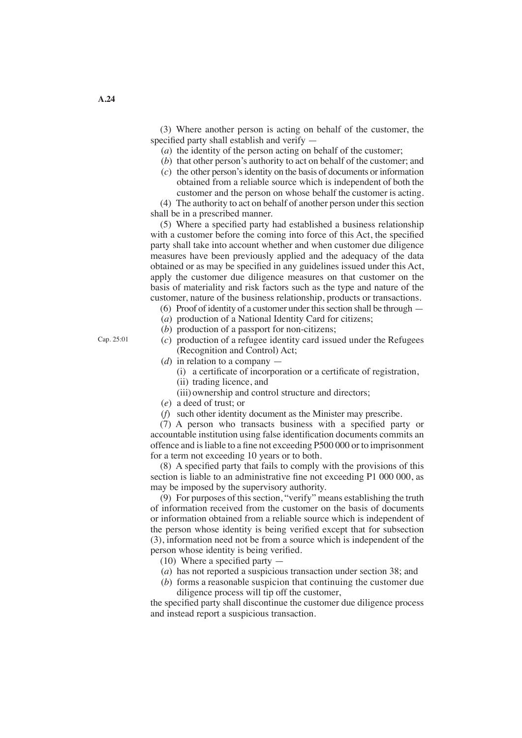(3) Where another person is acting on behalf of the customer, the specified party shall establish and verify —

- (*a*) the identity of the person acting on behalf of the customer;
- (*b*) that other person's authority to act on behalf of the customer; and
- (*c*) the other person'sidentity on the basis of documents or information obtained from a reliable source which is independent of both the customer and the person on whose behalf the customer is acting.

(4) The authority to act on behalf of another person under this section shall be in a prescribed manner.

 (5) Where a specified party had established a business relationship with a customer before the coming into force of this Act, the specified party shall take into account whether and when customer due diligence measures have been previously applied and the adequacy of the data obtained or as may be specified in any guidelines issued under this Act, apply the customer due diligence measures on that customer on the basis of materiality and risk factors such as the type and nature of the customer, nature of the business relationship, products or transactions.

- $(6)$  Proof of identity of a customer under this section shall be through  $-$
- (*a*) production of a National Identity Card for citizens;
- (*b*) production of a passport for non-citizens;
- (*c*) production of a refugee identity card issued under the Refugees (Recognition and Control) Act;
- (*d*) in relation to a company
	- (i) a certificate of incorporation or a certificate of registration,
	- (ii) trading licence, and
	- (iii) ownership and control structure and directors;
- (*e*) a deed of trust; or
- (*f*) such other identity document as the Minister may prescribe.

 (7) A person who transacts business with a specified party or accountable institution using false identification documents commits an offence and isliable to a fine not exceeding P500 000 or to imprisonment for a term not exceeding 10 years or to both.

 (8) A specified party that fails to comply with the provisions of this section is liable to an administrative fine not exceeding P1 000 000, as may be imposed by the supervisory authority.

 (9) For purposes of thissection, "verify" means establishing the truth of information received from the customer on the basis of documents or information obtained from a reliable source which is independent of the person whose identity is being verified except that for subsection (3), information need not be from a source which is independent of the person whose identity is being verified.

- (10) Where a specified party —
- (*a*) has not reported a suspicious transaction under section 38; and
- (*b*) forms a reasonable suspicion that continuing the customer due diligence process will tip off the customer,

the specified party shall discontinue the customer due diligence process and instead report a suspicious transaction.

Cap. 25:01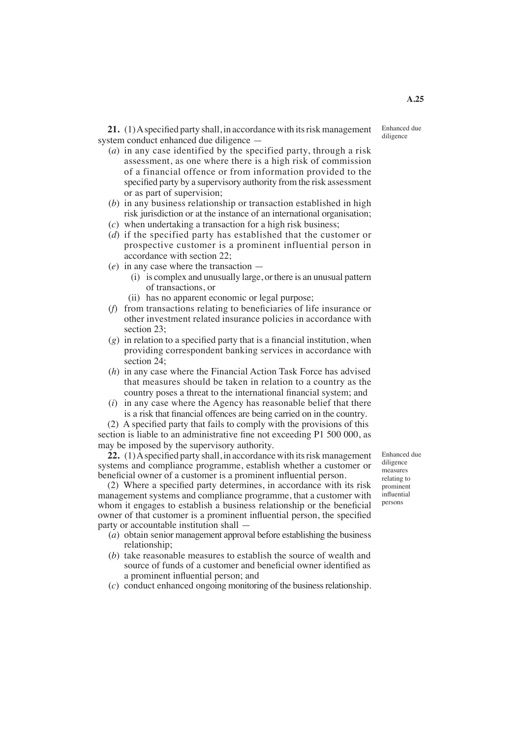21. (1) A specified party shall, in accordance with its risk management system conduct enhanced due diligence —

- (*a*) in any case identified by the specified party, through a risk assessment, as one where there is a high risk of commission of a financial offence or from information provided to the specified party by a supervisory authority from the risk assessment or as part of supervision;
- (*b*) in any business relationship or transaction established in high risk jurisdiction or at the instance of an international organisation;
- (*c*) when undertaking a transaction for a high risk business;
- (*d*) if the specified party has established that the customer or prospective customer is a prominent influential person in accordance with section 22;
- (*e*) in any case where the transaction
	- (i) is complex and unusually large, or there is an unusual pattern of transactions, or
	- (ii) has no apparent economic or legal purpose;
- (*f*) from transactions relating to beneficiaries of life insurance or other investment related insurance policies in accordance with section 23;
- (*g*) in relation to a specified party that is a financial institution, when providing correspondent banking services in accordance with section 24;
- (*h*) in any case where the Financial Action Task Force has advised that measures should be taken in relation to a country as the country poses a threat to the international financial system; and
- (*i*) in any case where the Agency has reasonable belief that there is a risk that financial offences are being carried on in the country.

 (2) A specified party that fails to comply with the provisions of this section is liable to an administrative fine not exceeding P1 500 000, as may be imposed by the supervisory authority.

22. (1) A specified party shall, in accordance with its risk management systems and compliance programme, establish whether a customer or beneficial owner of a customer is a prominent influential person.

 (2) Where a specified party determines, in accordance with its risk management systems and compliance programme, that a customer with whom it engages to establish a business relationship or the beneficial owner of that customer is a prominent influential person, the specified party or accountable institution shall —

- (*a*) obtain senior management approval before establishing the business relationship;
- (*b*) take reasonable measures to establish the source of wealth and source of funds of a customer and beneficial owner identified as a prominent influential person; and
- (*c*) conduct enhanced ongoing monitoring of the businessrelationship.

Enhanced due diligence measures relating to prominent influential persons

Enhanced due diligence

**A.25**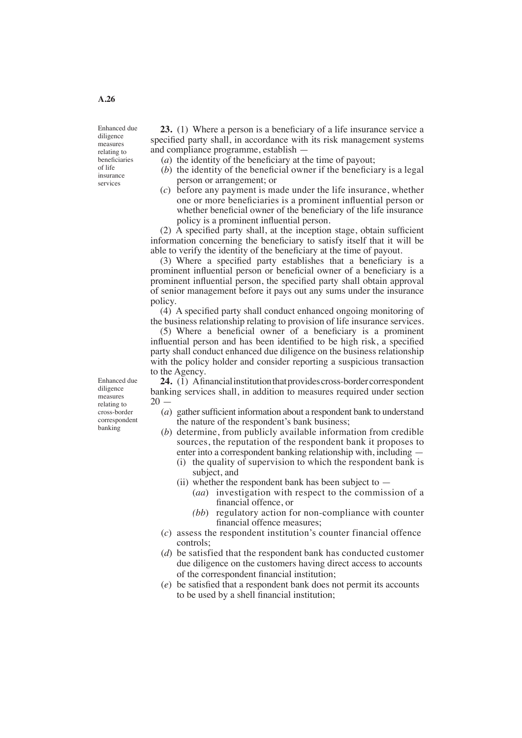Enhanced due diligence measures relating to beneficiaries of life insurance services

Enhanced due diligence measures relating to cross-border correspondent banking

**23.** (1) Where a person is a beneficiary of a life insurance service a specified party shall, in accordance with its risk management systems and compliance programme, establish —

- (*a*) the identity of the beneficiary at the time of payout;
- (*b*) the identity of the beneficial owner if the beneficiary is a legal person or arrangement; or
- (*c*) before any payment is made under the life insurance, whether one or more beneficiaries is a prominent influential person or whether beneficial owner of the beneficiary of the life insurance policy is a prominent influential person.

 (2) A specified party shall, at the inception stage, obtain sufficient information concerning the beneficiary to satisfy itself that it will be able to verify the identity of the beneficiary at the time of payout.

 (3) Where a specified party establishes that a beneficiary is a prominent influential person or beneficial owner of a beneficiary is a prominent influential person, the specified party shall obtain approval of senior management before it pays out any sums under the insurance policy.

 (4) A specified party shall conduct enhanced ongoing monitoring of the business relationship relating to provision of life insurance services.

 (5) Where a beneficial owner of a beneficiary is a prominent influential person and has been identified to be high risk, a specified party shall conduct enhanced due diligence on the business relationship with the policy holder and consider reporting a suspicious transaction to the Agency.

24. (1) Afinancial institution that provides cross-border correspondent banking services shall, in addition to measures required under section  $20$ 

- (*a*) gather sufficient information about a respondent bank to understand the nature of the respondent's bank business;
- (*b*) determine, from publicly available information from credible sources, the reputation of the respondent bank it proposes to enter into a correspondent banking relationship with, including —
	- (i) the quality of supervision to which the respondent bank is subject, and
	- (ii) whether the respondent bank has been subject to  $-$ 
		- (*aa*) investigation with respect to the commission of a financial offence, or
		- *(bb*) regulatory action for non-compliance with counter financial offence measures;
- (*c*) assess the respondent institution's counter financial offence controls;
- (*d*) be satisfied that the respondent bank has conducted customer due diligence on the customers having direct access to accounts of the correspondent financial institution;
- (*e*) be satisfied that a respondent bank does not permit its accounts to be used by a shell financial institution;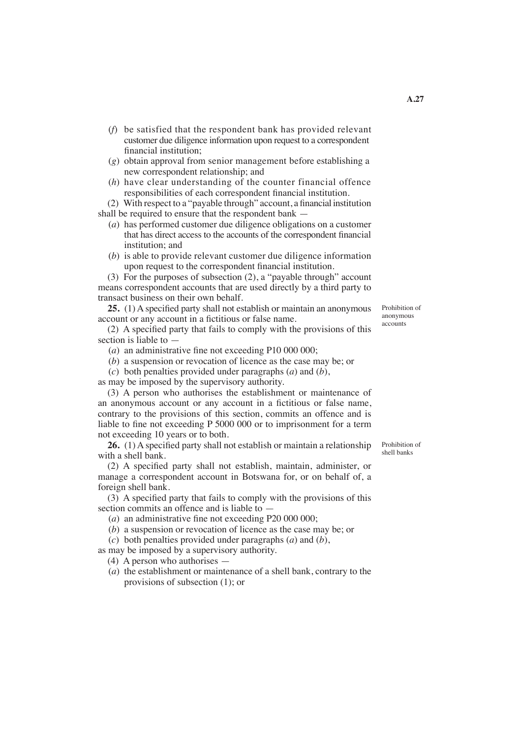- (*f*) be satisfied that the respondent bank has provided relevant customer due diligence information upon request to a correspondent financial institution;
- (*g*) obtain approval from senior management before establishing a new correspondent relationship; and
- (*h*) have clear understanding of the counter financial offence responsibilities of each correspondent financial institution.

 (2) With respect to a "payable through" account, a financialinstitution shall be required to ensure that the respondent bank —

- (*a*) has performed customer due diligence obligations on a customer that has direct access to the accounts of the correspondent financial institution; and
- (*b*) is able to provide relevant customer due diligence information upon request to the correspondent financial institution.

 (3) For the purposes of subsection (2), a "payable through" account means correspondent accounts that are used directly by a third party to transact business on their own behalf.

**25.** (1) A specified party shall not establish or maintain an anonymous account or any account in a fictitious or false name.

 (2) A specified party that fails to comply with the provisions of this section is liable to  $\overline{\phantom{a}}$ 

- (*a*) an administrative fine not exceeding P10 000 000;
- (*b*) a suspension or revocation of licence as the case may be; or
- (*c*) both penalties provided under paragraphs (*a*) and (*b*),

as may be imposed by the supervisory authority.

 (3) A person who authorises the establishment or maintenance of an anonymous account or any account in a fictitious or false name, contrary to the provisions of this section, commits an offence and is liable to fine not exceeding P 5000 000 or to imprisonment for a term not exceeding 10 years or to both.

**26.** (1) A specified party shall not establish or maintain a relationship with a shell bank.

 (2) A specified party shall not establish, maintain, administer, or manage a correspondent account in Botswana for, or on behalf of, a foreign shell bank.

 (3) A specified party that fails to comply with the provisions of this section commits an offence and is liable to —

- (*a*) an administrative fine not exceeding P20 000 000;
- (*b*) a suspension or revocation of licence as the case may be; or

(*c*) both penalties provided under paragraphs (*a*) and (*b*),

as may be imposed by a supervisory authority.

(4) A person who authorises —

(*a*) the establishment or maintenance of a shell bank, contrary to the provisions of subsection (1); or

Prohibition of shell banks

Prohibition of

anonymous accounts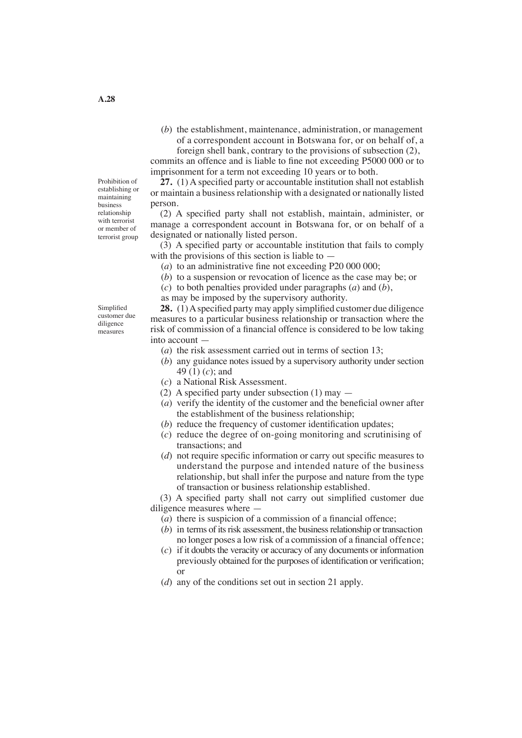(*b*) the establishment, maintenance, administration, or management of a correspondent account in Botswana for, or on behalf of, a foreign shell bank, contrary to the provisions of subsection (2), commits an offence and is liable to fine not exceeding P5000 000 or to

imprisonment for a term not exceeding 10 years or to both. **27.** (1) A specified party or accountable institution shall not establish

or maintain a business relationship with a designated or nationally listed person.

 (2) A specified party shall not establish, maintain, administer, or manage a correspondent account in Botswana for, or on behalf of a designated or nationally listed person.

 (3) A specified party or accountable institution that fails to comply with the provisions of this section is liable to  $-$ 

(*a*) to an administrative fine not exceeding P20 000 000;

(*b*) to a suspension or revocation of licence as the case may be; or

(*c*) to both penalties provided under paragraphs (*a*) and (*b*),

as may be imposed by the supervisory authority.

**28.** (1)Aspecified party may apply simplified customer due diligence measures to a particular business relationship or transaction where the risk of commission of a financial offence is considered to be low taking into account —

- (*a*) the risk assessment carried out in terms of section 13;
- (*b*) any guidance notes issued by a supervisory authority under section 49 (1) (*c*); and
- (*c*) a National Risk Assessment.
- (2) A specified party under subsection  $(1)$  may  $-$
- (*a*) verify the identity of the customer and the beneficial owner after the establishment of the business relationship;
- (*b*) reduce the frequency of customer identification updates;
- (*c*) reduce the degree of on-going monitoring and scrutinising of transactions; and
- (*d*) not require specific information or carry out specific measures to understand the purpose and intended nature of the business relationship, but shall infer the purpose and nature from the type of transaction or business relationship established.

 (3) A specified party shall not carry out simplified customer due diligence measures where —

- (*a*) there is suspicion of a commission of a financial offence;
- $(b)$  in terms of its risk assessment, the business relationship or transaction no longer poses a low risk of a commission of a financial offence;
- $(c)$  if it doubts the veracity or accuracy of any documents or information previously obtained for the purposes of identification or verification; or
- (*d*) any of the conditions set out in section 21 apply.

Prohibition of establishing or maintaining business relationship with terrorist or member of terrorist group

Simplified customer due diligence measures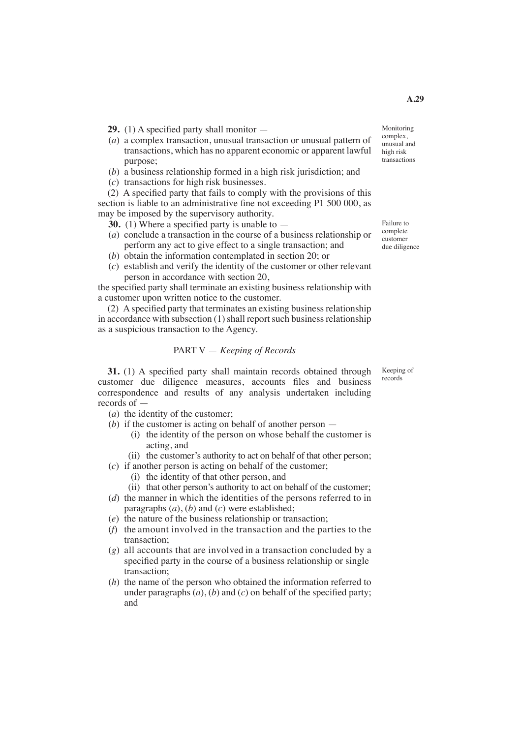- **29.** (1) A specified party shall monitor —
- (*a*) a complex transaction, unusual transaction or unusual pattern of transactions, which has no apparent economic or apparent lawful purpose;
- (*b*) a business relationship formed in a high risk jurisdiction; and
- (*c*) transactions for high risk businesses.

 (2) A specified party that fails to comply with the provisions of this section is liable to an administrative fine not exceeding P1 500 000, as may be imposed by the supervisory authority.

- **30.** (1) Where a specified party is unable to —
- (*a*) conclude a transaction in the course of a business relationship or perform any act to give effect to a single transaction; and
- (*b*) obtain the information contemplated in section 20; or
- (*c*) establish and verify the identity of the customer or other relevant person in accordance with section 20,

the specified party shall terminate an existing business relationship with a customer upon written notice to the customer.

 (2) Aspecified party that terminates an existing business relationship in accordance with subsection  $(1)$  shall report such business relationship as a suspicious transaction to the Agency.

## PART V — *Keeping of Records*

**31.** (1) A specified party shall maintain records obtained through customer due diligence measures, accounts files and business correspondence and results of any analysis undertaken including records of —

- (*a*) the identity of the customer;
- (*b*) if the customer is acting on behalf of another person
	- (i) the identity of the person on whose behalf the customer is acting, and
	- (ii) the customer's authority to act on behalf of that other person;

(*c*) if another person is acting on behalf of the customer;

- (i) the identity of that other person, and
- (ii) that other person's authority to act on behalf of the customer;
- (*d*) the manner in which the identities of the persons referred to in paragraphs (*a*), (*b*) and (*c*) were established;
- (*e*) the nature of the business relationship or transaction;
- (*f*) the amount involved in the transaction and the parties to the transaction;
- (*g*) all accounts that are involved in a transaction concluded by a specified party in the course of a business relationship or single transaction;
- (*h*) the name of the person who obtained the information referred to under paragraphs  $(a)$ ,  $(b)$  and  $(c)$  on behalf of the specified party; and

Monitoring complex, unusual and high risk transactions

Failure to complete customer due diligence

Keeping of records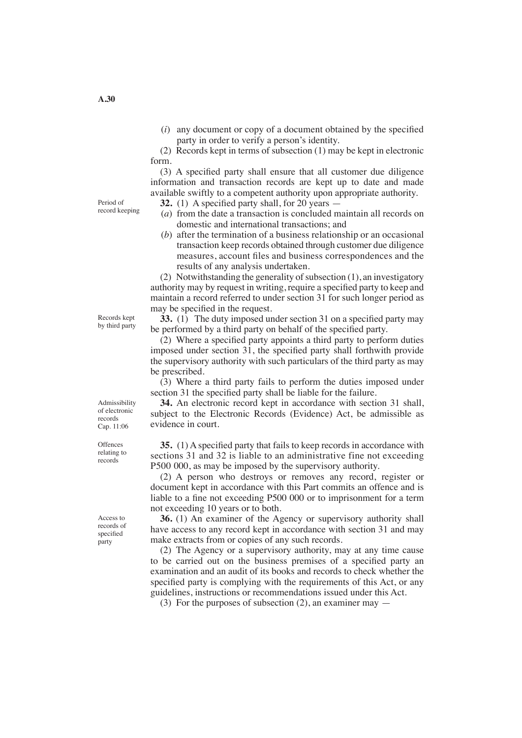(*i*) any document or copy of a document obtained by the specified party in order to verify a person's identity.

 (2) Records kept in terms of subsection (1) may be kept in electronic form.

 (3) A specified party shall ensure that all customer due diligence information and transaction records are kept up to date and made available swiftly to a competent authority upon appropriate authority.

**32.** (1) A specified party shall, for 20 years —

- (*a*) from the date a transaction is concluded maintain all records on domestic and international transactions; and
- (*b*) after the termination of a business relationship or an occasional transaction keep records obtained through customer due diligence measures, account files and business correspondences and the results of any analysis undertaken.

(2) Notwithstanding the generality of subsection  $(1)$ , an investigatory authority may by request in writing, require a specified party to keep and maintain a record referred to under section 31 for such longer period as may be specified in the request.

**33.** (1) The duty imposed under section 31 on a specified party may be performed by a third party on behalf of the specified party.

 (2) Where a specified party appoints a third party to perform duties imposed under section 31, the specified party shall forthwith provide the supervisory authority with such particulars of the third party as may be prescribed.

 (3) Where a third party fails to perform the duties imposed under section 31 the specified party shall be liable for the failure.

**34.** An electronic record kept in accordance with section 31 shall, subject to the Electronic Records (Evidence) Act, be admissible as evidence in court.

**35.** (1) A specified party that fails to keep records in accordance with sections 31 and 32 is liable to an administrative fine not exceeding P500 000, as may be imposed by the supervisory authority.

 (2) A person who destroys or removes any record, register or document kept in accordance with this Part commits an offence and is liable to a fine not exceeding P500 000 or to imprisonment for a term not exceeding 10 years or to both.

**36.** (1) An examiner of the Agency or supervisory authority shall have access to any record kept in accordance with section 31 and may make extracts from or copies of any such records.

 (2) The Agency or a supervisory authority, may at any time cause to be carried out on the business premises of a specified party an examination and an audit of its books and records to check whether the specified party is complying with the requirements of this Act, or any guidelines, instructions or recommendations issued under this Act.

(3) For the purposes of subsection (2), an examiner may —

Records kept by third party

Admissibility of electronic records Cap. 11:06

**Offences** relating to records

Access to records of specified party

**A.30**

Period of record keeping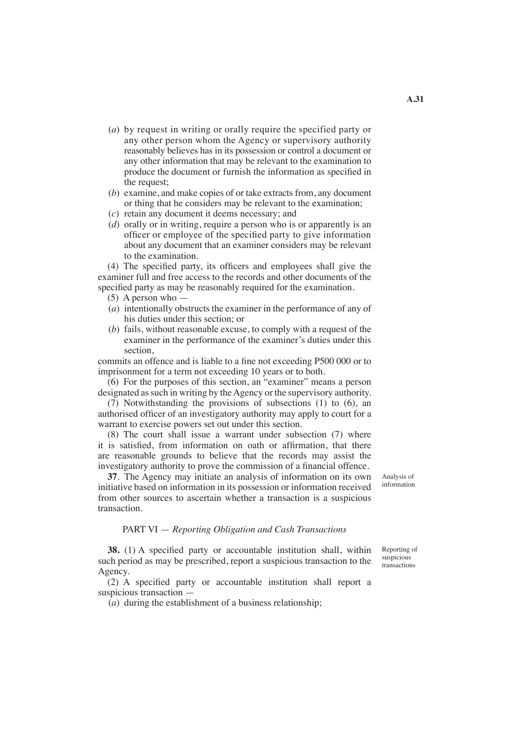- (*a*) by request in writing or orally require the specified party or any other person whom the Agency or supervisory authority reasonably believes has in its possession or control a document or any other information that may be relevant to the examination to produce the document or furnish the information as specified in the request;
- (*b*) examine, and make copies of or take extracts from, any document or thing that he considers may be relevant to the examination;
- (*c*) retain any document it deems necessary; and
- (*d*) orally or in writing, require a person who is or apparently is an officer or employee of the specified party to give information about any document that an examiner considers may be relevant to the examination.

 (4) The specified party, its officers and employees shall give the examiner full and free access to the records and other documents of the specified party as may be reasonably required for the examination.

- (5) A person who —
- (*a*) intentionally obstructs the examiner in the performance of any of his duties under this section; or
- (*b*) fails, without reasonable excuse, to comply with a request of the examiner in the performance of the examiner's duties under this section,

commits an offence and is liable to a fine not exceeding P500 000 or to imprisonment for a term not exceeding 10 years or to both.

 (6) For the purposes of this section, an "examiner" means a person designated as such in writing by the Agency or the supervisory authority.

 (7) Notwithstanding the provisions of subsections (1) to (6), an authorised officer of an investigatory authority may apply to court for a warrant to exercise powers set out under this section.

 (8) The court shall issue a warrant under subsection (7) where it is satisfied, from information on oath or affirmation, that there are reasonable grounds to believe that the records may assist the investigatory authority to prove the commission of a financial offence.

**37**. The Agency may initiate an analysis of information on its own initiative based on information in its possession or information received from other sources to ascertain whether a transaction is a suspicious transaction.

Analysis of information

Reporting of suspicious transactions

#### PART VI — *Reporting Obligation and Cash Transactions*

**38.** (1) A specified party or accountable institution shall, within such period as may be prescribed, report a suspicious transaction to the Agency.

 (2) A specified party or accountable institution shall report a suspicious transaction —

 $(a)$  during the establishment of a business relationship:

**A.31**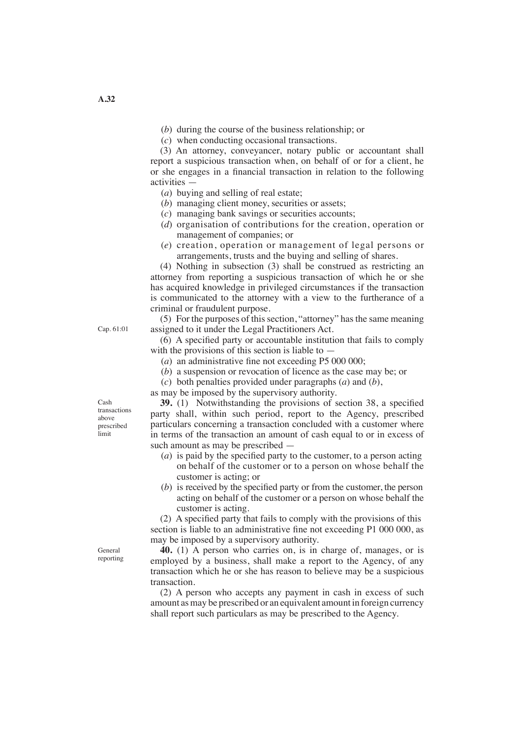(*b*) during the course of the business relationship; or

(*c*) when conducting occasional transactions.

 (3) An attorney, conveyancer, notary public or accountant shall report a suspicious transaction when, on behalf of or for a client, he or she engages in a financial transaction in relation to the following activities —

- (*a*) buying and selling of real estate;
- (*b*) managing client money, securities or assets;
- (*c*) managing bank savings or securities accounts;
- (*d*) organisation of contributions for the creation, operation or management of companies; or
- (*e*) creation, operation or management of legal persons or arrangements, trusts and the buying and selling of shares.

 (4) Nothing in subsection (3) shall be construed as restricting an attorney from reporting a suspicious transaction of which he or she has acquired knowledge in privileged circumstances if the transaction is communicated to the attorney with a view to the furtherance of a criminal or fraudulent purpose.

(5) For the purposes of this section, "attorney" has the same meaning assigned to it under the Legal Practitioners Act.

 (6) A specified party or accountable institution that fails to comply with the provisions of this section is liable to —

- (*a*) an administrative fine not exceeding P5 000 000;
- (*b*) a suspension or revocation of licence as the case may be; or
- (*c*) both penalties provided under paragraphs (*a*) and (*b*),

as may be imposed by the supervisory authority.

**39.** (1) Notwithstanding the provisions of section 38, a specified party shall, within such period, report to the Agency, prescribed particulars concerning a transaction concluded with a customer where in terms of the transaction an amount of cash equal to or in excess of such amount as may be prescribed —

- (*a*) is paid by the specified party to the customer, to a person acting on behalf of the customer or to a person on whose behalf the customer is acting; or
- (*b*) is received by the specified party or from the customer, the person acting on behalf of the customer or a person on whose behalf the customer is acting.

 (2) A specified party that fails to comply with the provisions of this section is liable to an administrative fine not exceeding P1 000 000, as may be imposed by a supervisory authority.

**40.** (1) A person who carries on, is in charge of, manages, or is employed by a business, shall make a report to the Agency, of any transaction which he or she has reason to believe may be a suspicious transaction.

 (2) A person who accepts any payment in cash in excess of such amount as may be prescribed or an equivalent amount in foreign currency shall report such particulars as may be prescribed to the Agency.

Cash transactions above prescribed limit

Cap. 61:01

General reporting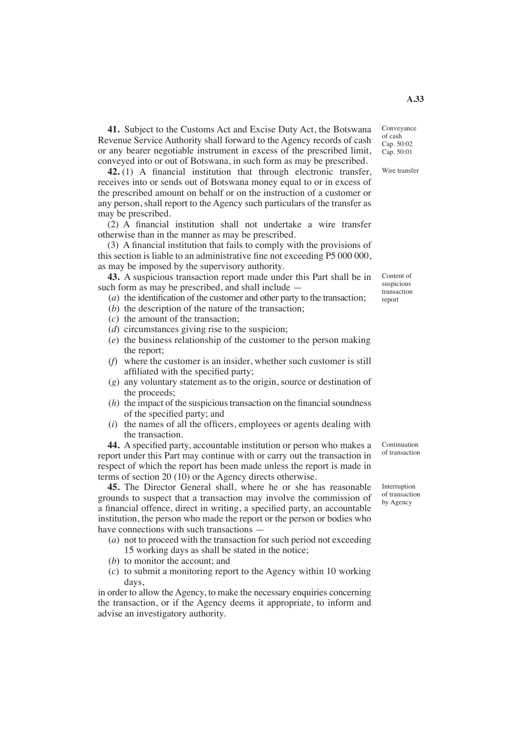**41.** Subject to the Customs Act and Excise Duty Act, the Botswana Revenue Service Authority shall forward to the Agency records of cash or any bearer negotiable instrument in excess of the prescribed limit, conveyed into or out of Botswana, in such form as may be prescribed.

**42.** (1) A financial institution that through electronic transfer, receives into or sends out of Botswana money equal to or in excess of the prescribed amount on behalf or on the instruction of a customer or any person, shall report to the Agency such particulars of the transfer as may be prescribed.

 (2) A financial institution shall not undertake a wire transfer otherwise than in the manner as may be prescribed.

 (3) A financial institution that fails to comply with the provisions of this section is liable to an administrative fine not exceeding P5 000 000, as may be imposed by the supervisory authority.

**43.** A suspicious transaction report made under this Part shall be in such form as may be prescribed, and shall include —

(*a*) the identification of the customer and other party to the transaction;

- (*b*) the description of the nature of the transaction;
- (*c*) the amount of the transaction;
- (*d*) circumstances giving rise to the suspicion;
- (*e*) the business relationship of the customer to the person making the report;
- (*f*) where the customer is an insider, whether such customer is still affiliated with the specified party;
- (*g*) any voluntary statement as to the origin, source or destination of the proceeds;
- $(h)$  the impact of the suspicious transaction on the financial soundness of the specified party; and
- (*i*) the names of all the officers, employees or agents dealing with the transaction.

**44.** A specified party, accountable institution or person who makes a report under this Part may continue with or carry out the transaction in respect of which the report has been made unless the report is made in terms of section 20 (10) or the Agency directs otherwise.

**45.** The Director General shall, where he or she has reasonable grounds to suspect that a transaction may involve the commission of a financial offence, direct in writing, a specified party, an accountable institution, the person who made the report or the person or bodies who have connections with such transactions –

- (*a*) not to proceed with the transaction for such period not exceeding 15 working days as shall be stated in the notice;
- (*b*) to monitor the account; and
- (*c*) to submit a monitoring report to the Agency within 10 working days,

in order to allow the Agency, to make the necessary enquiries concerning the transaction, or if the Agency deems it appropriate, to inform and advise an investigatory authority.

Continuation of transaction

Interruption of transaction by Agency

Content of suspicious transaction report

Conveyance of cash Cap. 50:02 Cap. 50:01

Wire transfer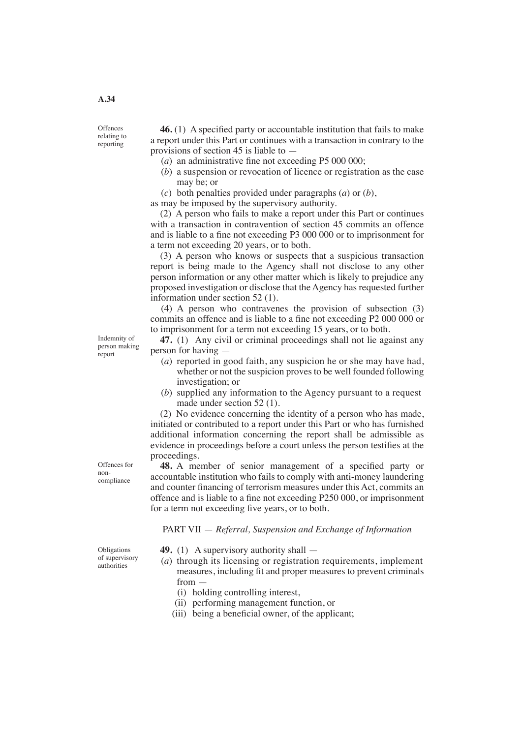**Offences** relating to reporting

**46.** (1) A specified party or accountable institution that fails to make a report under this Part or continues with a transaction in contrary to the provisions of section 45 is liable to —

- (*a*) an administrative fine not exceeding P5 000 000;
- (*b*) a suspension or revocation of licence or registration as the case may be; or
- (*c*) both penalties provided under paragraphs (*a*) or (*b*),

as may be imposed by the supervisory authority.

 (2) A person who fails to make a report under this Part or continues with a transaction in contravention of section 45 commits an offence and is liable to a fine not exceeding P3 000 000 or to imprisonment for a term not exceeding 20 years, or to both.

 (3) A person who knows or suspects that a suspicious transaction report is being made to the Agency shall not disclose to any other person information or any other matter which is likely to prejudice any proposed investigation or disclose that the Agency has requested further information under section 52 (1).

(4) A person who contravenes the provision of subsection (3) commits an offence and is liable to a fine not exceeding P2 000 000 or to imprisonment for a term not exceeding 15 years, or to both.

**47.** (1) Any civil or criminal proceedings shall not lie against any person for having —

- (*a*) reported in good faith, any suspicion he or she may have had, whether or not the suspicion proves to be well founded following investigation; or
- (*b*) supplied any information to the Agency pursuant to a request made under section 52 (1).

 (2) No evidence concerning the identity of a person who has made, initiated or contributed to a report under this Part or who has furnished additional information concerning the report shall be admissible as evidence in proceedings before a court unless the person testifies at the proceedings.

**48.** A member of senior management of a specified party or accountable institution who fails to comply with anti-money laundering and counter financing of terrorism measures under this Act, commits an offence and is liable to a fine not exceeding P250 000, or imprisonment for a term not exceeding five years, or to both.

PART VII — *Referral, Suspension and Exchange of Information*

- **49.** (1) A supervisory authority shall —
- (*a*) through its licensing or registration requirements, implement measures, including fit and proper measures to prevent criminals from —
	- (i) holding controlling interest,
	- (ii) performing management function, or
	- (iii) being a beneficial owner, of the applicant;

Indemnity of person making report

Offences for noncompliance

Obligations of supervisory authorities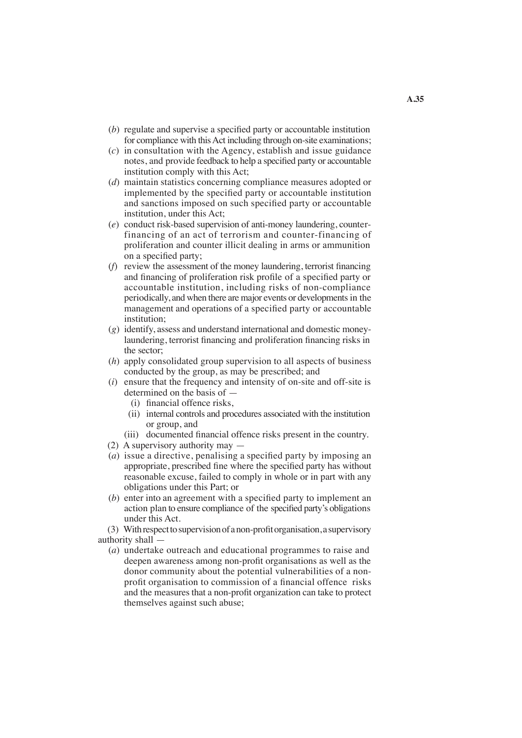- (*b*) regulate and supervise a specified party or accountable institution for compliance with this Act including through on-site examinations;
- (*c*) in consultation with the Agency, establish and issue guidance notes, and provide feedback to help a specified party or accountable institution comply with this Act;
- (*d*) maintain statistics concerning compliance measures adopted or implemented by the specified party or accountable institution and sanctions imposed on such specified party or accountable institution, under this Act;
- (*e*) conduct risk-based supervision of anti-money laundering, counterfinancing of an act of terrorism and counter-financing of proliferation and counter illicit dealing in arms or ammunition on a specified party;
- (*f*) review the assessment of the money laundering, terrorist financing and financing of proliferation risk profile of a specified party or accountable institution, including risks of non-compliance periodically, and when there are major events or developments in the management and operations of a specified party or accountable institution;
- (*g*) identify, assess and understand international and domestic moneylaundering, terrorist financing and proliferation financing risks in the sector;
- (*h*) apply consolidated group supervision to all aspects of business conducted by the group, as may be prescribed; and
- (*i*) ensure that the frequency and intensity of on-site and off-site is determined on the basis of —
	- (i) financial offence risks,
	- (ii) internal controls and procedures associated with the institution or group, and
	- (iii) documented financial offence risks present in the country.
- (2) A supervisory authority may —
- (*a*) issue a directive, penalising a specified party by imposing an appropriate, prescribed fine where the specified party has without reasonable excuse, failed to comply in whole or in part with any obligations under this Part; or
- (*b*) enter into an agreement with a specified party to implement an action plan to ensure compliance of the specified party's obligations under this Act.

(3) Withrespecttosupervisionofanon-profitorganisation,asupervisory authority shall —

(*a*) undertake outreach and educational programmes to raise and deepen awareness among non-profit organisations as well as the donor community about the potential vulnerabilities of a nonprofit organisation to commission of a financial offence risks and the measures that a non-profit organization can take to protect themselves against such abuse;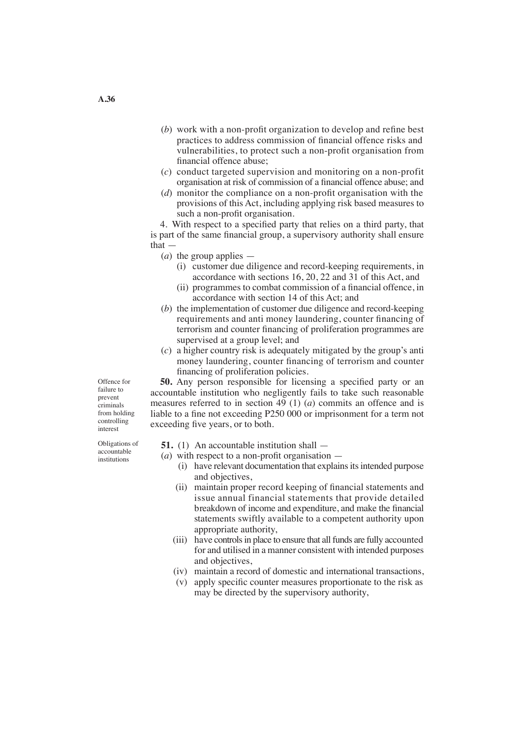- (*b*) work with a non-profit organization to develop and refine best practices to address commission of financial offence risks and vulnerabilities, to protect such a non-profit organisation from financial offence abuse;
- (*c*) conduct targeted supervision and monitoring on a non-profit organisation at risk of commission of a financial offence abuse; and
- (*d*) monitor the compliance on a non-profit organisation with the provisions of this Act, including applying risk based measures to such a non-profit organisation.

 4. With respect to a specified party that relies on a third party, that is part of the same financial group, a supervisory authority shall ensure that —

(*a*) the group applies —

- (i) customer due diligence and record-keeping requirements, in accordance with sections 16, 20, 22 and 31 of this Act, and
- (ii) programmes to combat commission of a financial offence, in accordance with section 14 of this Act; and
- (*b*) the implementation of customer due diligence and record-keeping requirements and anti money laundering, counter financing of terrorism and counter financing of proliferation programmes are supervised at a group level; and
- (*c*) a higher country risk is adequately mitigated by the group's anti money laundering, counter financing of terrorism and counter financing of proliferation policies.

**50.** Any person responsible for licensing a specified party or an accountable institution who negligently fails to take such reasonable measures referred to in section 49 (1) (*a*) commits an offence and is liable to a fine not exceeding P250 000 or imprisonment for a term not exceeding five years, or to both.

**51.** (1) An accountable institution shall —

- (*a*) with respect to a non-profit organisation
	- (i) have relevant documentation that explains its intended purpose and objectives,
	- (ii) maintain proper record keeping of financial statements and issue annual financial statements that provide detailed breakdown of income and expenditure, and make the financial statements swiftly available to a competent authority upon appropriate authority,
	- (iii) have controls in place to ensure that all funds are fully accounted for and utilised in a manner consistent with intended purposes and objectives,
	- (iv) maintain a record of domestic and international transactions,
	- (v) apply specific counter measures proportionate to the risk as may be directed by the supervisory authority,

failure to prevent criminals from holding controlling interest

Offence for

Obligations of accountable institutions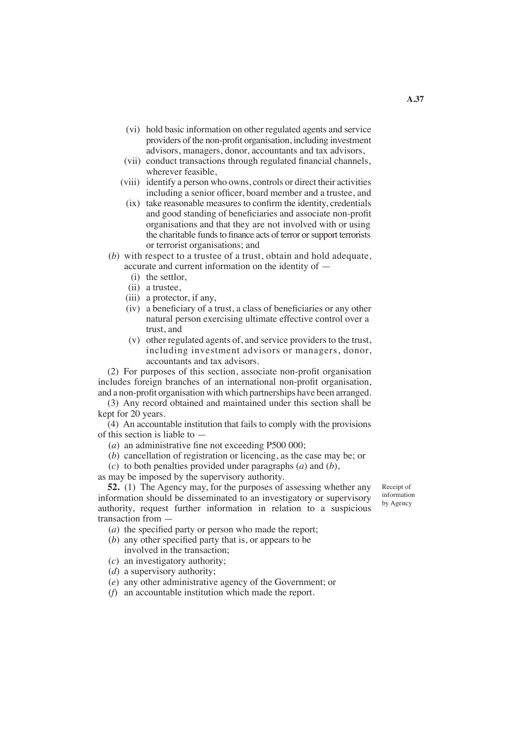- (vi) hold basic information on other regulated agents and service providers of the non-profit organisation, including investment advisors, managers, donor, accountants and tax advisors,
- (vii) conduct transactions through regulated financial channels, wherever feasible,
- (viii) identify a person who owns, controls or direct their activities including a senior officer, board member and a trustee, and
- (ix) take reasonable measures to confirm the identity, credentials and good standing of beneficiaries and associate non-profit organisations and that they are not involved with or using the charitable funds to finance acts of terror or support terrorists or terrorist organisations; and
- (*b*) with respect to a trustee of a trust, obtain and hold adequate, accurate and current information on the identity of —
	- (i) the settlor,
	- (ii) a trustee,
	- (iii) a protector, if any,
	- (iv) a beneficiary of a trust, a class of beneficiaries or any other natural person exercising ultimate effective control over a trust, and
	- (v) other regulated agents of, and service providers to the trust, including investment advisors or managers, donor, accountants and tax advisors.

 (2) For purposes of this section, associate non-profit organisation includes foreign branches of an international non-profit organisation, and a non-profit organisation with which partnerships have been arranged.

 (3) Any record obtained and maintained under this section shall be kept for 20 years.

 (4) An accountable institution that fails to comply with the provisions of this section is liable to —

- (*a*) an administrative fine not exceeding P500 000;
- (*b*) cancellation of registration or licencing, as the case may be; or
- (*c*) to both penalties provided under paragraphs (*a*) and (*b*),

as may be imposed by the supervisory authority.

**52.** (1) The Agency may, for the purposes of assessing whether any information should be disseminated to an investigatory or supervisory authority, request further information in relation to a suspicious transaction from —

- (*a*) the specified party or person who made the report;
- (*b*) any other specified party that is, or appears to be involved in the transaction;
- (*c*) an investigatory authority;
- (*d*) a supervisory authority;
- (*e*) any other administrative agency of the Government; or
- (*f*) an accountable institution which made the report.

Receipt of information by Agency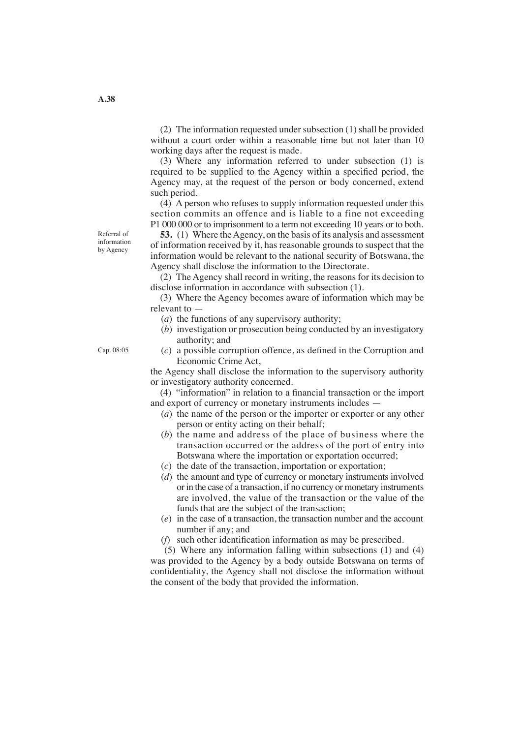(2) The information requested under subsection  $(1)$  shall be provided without a court order within a reasonable time but not later than 10 working days after the request is made.

 (3) Where any information referred to under subsection (1) is required to be supplied to the Agency within a specified period, the Agency may, at the request of the person or body concerned, extend such period.

 (4) A person who refuses to supply information requested under this section commits an offence and is liable to a fine not exceeding P1 000 000 or to imprisonment to a term not exceeding 10 years or to both.

**53.** (1) Where the Agency, on the basis of its analysis and assessment of information received by it, has reasonable grounds to suspect that the information would be relevant to the national security of Botswana, the Agency shall disclose the information to the Directorate.

 (2) The Agency shall record in writing, the reasons for its decision to disclose information in accordance with subsection (1).

 (3) Where the Agency becomes aware of information which may be relevant to —

- (*a*) the functions of any supervisory authority;
- (*b*) investigation or prosecution being conducted by an investigatory authority; and
- (*c*) a possible corruption offence, as defined in the Corruption and Economic Crime Act,

the Agency shall disclose the information to the supervisory authority or investigatory authority concerned.

 (4) "information" in relation to a financial transaction or the import and export of currency or monetary instruments includes —

- (*a*) the name of the person or the importer or exporter or any other person or entity acting on their behalf;
- (*b*) the name and address of the place of business where the transaction occurred or the address of the port of entry into Botswana where the importation or exportation occurred;
- (*c*) the date of the transaction, importation or exportation;
- (*d*) the amount and type of currency or monetary instruments involved or in the case of a transaction, if no currency or monetary instruments are involved, the value of the transaction or the value of the funds that are the subject of the transaction;
- (*e*) in the case of a transaction, the transaction number and the account number if any; and
- (*f*) such other identification information as may be prescribed.

 (5) Where any information falling within subsections (1) and (4) was provided to the Agency by a body outside Botswana on terms of confidentiality, the Agency shall not disclose the information without the consent of the body that provided the information.

Referral of information by Agency

Cap. 08:05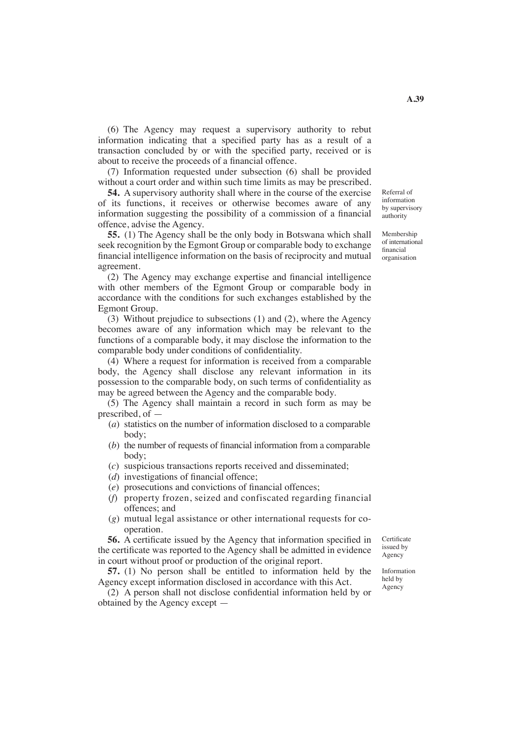(6) The Agency may request a supervisory authority to rebut information indicating that a specified party has as a result of a transaction concluded by or with the specified party, received or is about to receive the proceeds of a financial offence.

 (7) Information requested under subsection (6) shall be provided without a court order and within such time limits as may be prescribed.

**54.** A supervisory authority shall where in the course of the exercise of its functions, it receives or otherwise becomes aware of any information suggesting the possibility of a commission of a financial offence, advise the Agency.

**55.** (1) The Agency shall be the only body in Botswana which shall seek recognition by the Egmont Group or comparable body to exchange financial intelligence information on the basis of reciprocity and mutual agreement.

 (2) The Agency may exchange expertise and financial intelligence with other members of the Egmont Group or comparable body in accordance with the conditions for such exchanges established by the Egmont Group.

 (3) Without prejudice to subsections (1) and (2), where the Agency becomes aware of any information which may be relevant to the functions of a comparable body, it may disclose the information to the comparable body under conditions of confidentiality.

 (4) Where a request for information is received from a comparable body, the Agency shall disclose any relevant information in its possession to the comparable body, on such terms of confidentiality as may be agreed between the Agency and the comparable body.

 (5) The Agency shall maintain a record in such form as may be prescribed, of —

- (*a*) statistics on the number of information disclosed to a comparable body;
- (*b*) the number of requests of financial information from a comparable body;
- (*c*) suspicious transactions reports received and disseminated;
- (*d*) investigations of financial offence;
- (*e*) prosecutions and convictions of financial offences;
- (*f*) property frozen, seized and confiscated regarding financial offences; and
- (*g*) mutual legal assistance or other international requests for co operation.

**56.** A certificate issued by the Agency that information specified in the certificate was reported to the Agency shall be admitted in evidence in court without proof or production of the original report.

**57.** (1) No person shall be entitled to information held by the Agency except information disclosed in accordance with this Act.

 (2) A person shall not disclose confidential information held by or obtained by the Agency except —

**Certificate** issued by Agency

Information held by Agency

information by supervisory authority

Referral of

Membership of international financial organisation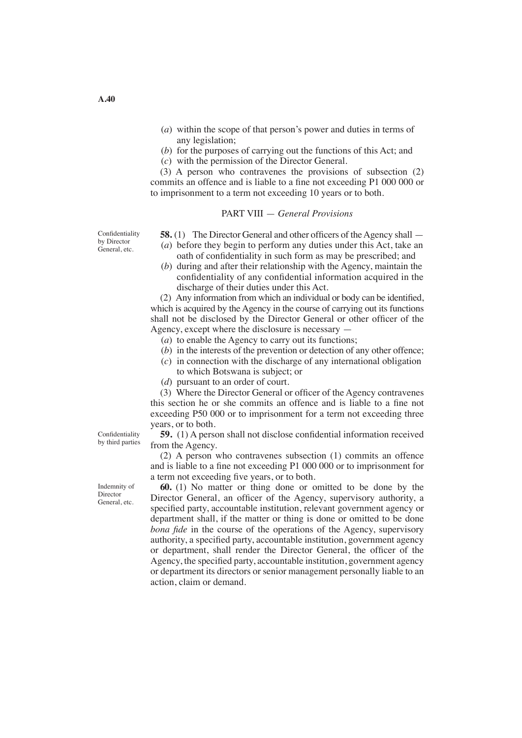- (*a*) within the scope of that person's power and duties in terms of any legislation;
- (*b*) for the purposes of carrying out the functions of this Act; and
- (*c*) with the permission of the Director General.

 (3) A person who contravenes the provisions of subsection (2) commits an offence and is liable to a fine not exceeding P1 000 000 or to imprisonment to a term not exceeding 10 years or to both.

#### PART VIII — *General Provisions*

**Confidentiality** by Director General, etc.

- **58.** (1) The Director General and other officers of the Agency shall (*a*) before they begin to perform any duties under this Act, take an oath of confidentiality in such form as may be prescribed; and
- (*b*) during and after their relationship with the Agency, maintain the confidentiality of any confidential information acquired in the discharge of their duties under this Act.

 (2) Any information from which an individual or body can be identified, which is acquired by the Agency in the course of carrying out its functions shall not be disclosed by the Director General or other officer of the Agency, except where the disclosure is necessary —

- (*a*) to enable the Agency to carry out its functions;
- (*b*) in the interests of the prevention or detection of any other offence;
- (*c*) in connection with the discharge of any international obligation
	- to which Botswana is subject; or
- (*d*) pursuant to an order of court.

 (3) Where the Director General or officer of the Agency contravenes this section he or she commits an offence and is liable to a fine not exceeding P50 000 or to imprisonment for a term not exceeding three years, or to both.

**59.** (1) A person shall not disclose confidential information received from the Agency.

 (2) A person who contravenes subsection (1) commits an offence and is liable to a fine not exceeding P1 000 000 or to imprisonment for a term not exceeding five years, or to both.

**60.** (1) No matter or thing done or omitted to be done by the Director General, an officer of the Agency, supervisory authority, a specified party, accountable institution, relevant government agency or department shall, if the matter or thing is done or omitted to be done *bona fide* in the course of the operations of the Agency, supervisory authority, a specified party, accountable institution, government agency or department, shall render the Director General, the officer of the Agency, the specified party, accountable institution, government agency or department its directors or senior management personally liable to an action, claim or demand.

Confidentiality by third parties

Indemnity of Director General, etc.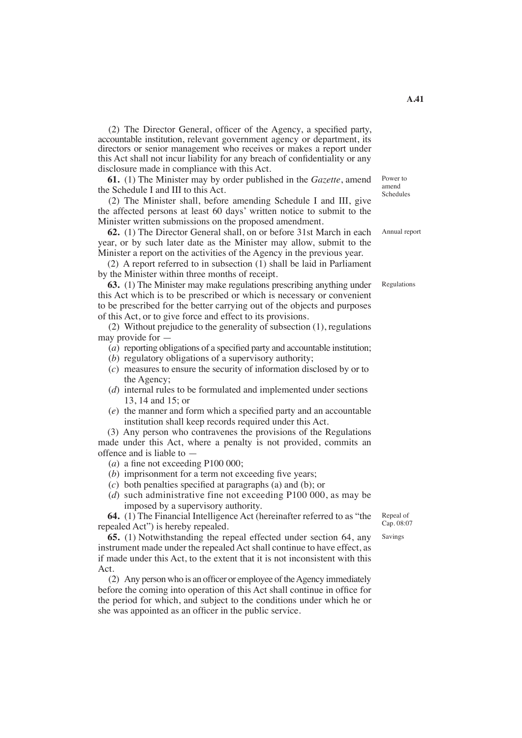(2) The Director General, officer of the Agency, a specified party, accountable institution, relevant government agency or department, its directors or senior management who receives or makes a report under this Act shall not incur liability for any breach of confidentiality or any disclosure made in compliance with this Act.

**61.** (1) The Minister may by order published in the *Gazette*, amend the Schedule I and III to this Act.

(2) The Minister shall, before amending Schedule I and III, give the affected persons at least 60 days' written notice to submit to the Minister written submissions on the proposed amendment.

**62.** (1) The Director General shall, on or before 31st March in each year, or by such later date as the Minister may allow, submit to the Minister a report on the activities of the Agency in the previous year.

 (2) A report referred to in subsection (1) shall be laid in Parliament by the Minister within three months of receipt.

**63.** (1) The Minister may make regulations prescribing anything under this Act which is to be prescribed or which is necessary or convenient to be prescribed for the better carrying out of the objects and purposes of this Act, or to give force and effect to its provisions.

(2) Without prejudice to the generality of subsection (1), regulations may provide for —

- (*a*) reporting obligations of a specified party and accountable institution;
- (*b*) regulatory obligations of a supervisory authority;
- (*c*) measures to ensure the security of information disclosed by or to the Agency;
- (*d*) internal rules to be formulated and implemented under sections 13, 14 and 15; or
- (*e*) the manner and form which a specified party and an accountable institution shall keep records required under this Act.

 (3) Any person who contravenes the provisions of the Regulations made under this Act, where a penalty is not provided, commits an offence and is liable to —

- (*a*) a fine not exceeding P100 000;
- (*b*) imprisonment for a term not exceeding five years;
- (*c*) both penalties specified at paragraphs (a) and (b); or
- (*d*) such administrative fine not exceeding P100 000, as may be imposed by a supervisory authority.

**64.** (1) The Financial Intelligence Act (hereinafter referred to as "the repealed Act") is hereby repealed.

**65.** (1) Notwithstanding the repeal effected under section 64, any instrument made under the repealed Act shall continue to have effect, as if made under this Act, to the extent that it is not inconsistent with this Act.

 $(2)$  Any person who is an officer or employee of the Agency immediately before the coming into operation of this Act shall continue in office for the period for which, and subject to the conditions under which he or she was appointed as an officer in the public service.

Repeal of Cap. 08:07

Savings

Annual report

Power to amend Schedules

Regulations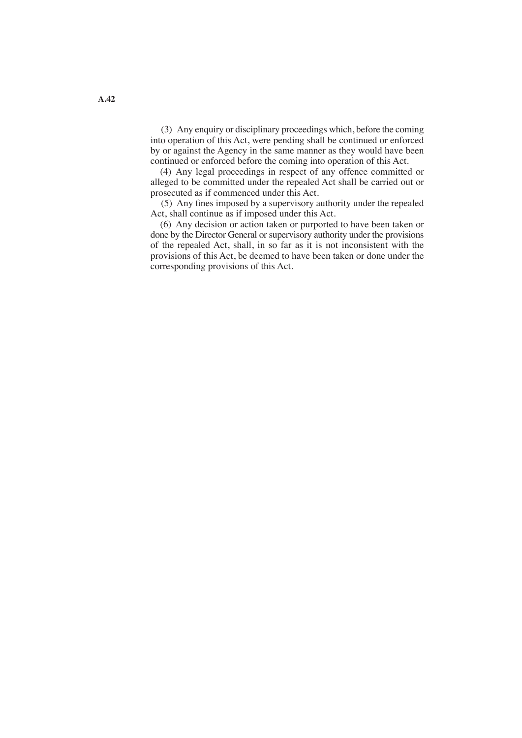(3) Any enquiry or disciplinary proceedings which, before the coming into operation of this Act, were pending shall be continued or enforced by or against the Agency in the same manner as they would have been continued or enforced before the coming into operation of this Act.

 (4) Any legal proceedings in respect of any offence committed or alleged to be committed under the repealed Act shall be carried out or prosecuted as if commenced under this Act.

(5) Any fines imposed by a supervisory authority under the repealed Act, shall continue as if imposed under this Act.

 (6) Any decision or action taken or purported to have been taken or done by the Director General or supervisory authority under the provisions of the repealed Act, shall, in so far as it is not inconsistent with the provisions of this Act, be deemed to have been taken or done under the corresponding provisions of this Act.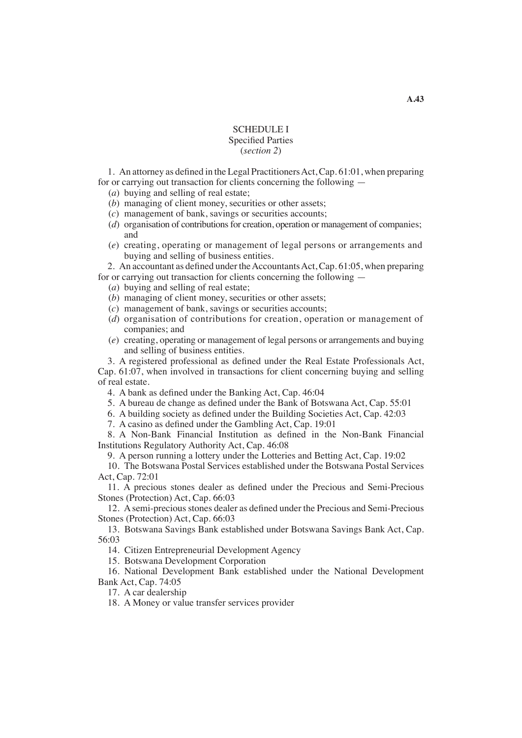### SCHEDULE I Specified Parties (*section 2*)

 1. An attorney as defined in the Legal PractitionersAct,Cap. 61:01, when preparing for or carrying out transaction for clients concerning the following —

- (*a*) buying and selling of real estate;
- (*b*) managing of client money, securities or other assets;
- (*c*) management of bank, savings or securities accounts;
- (*d*) organisation of contributions for creation, operation or management of companies; and
- (*e*) creating, operating or management of legal persons or arrangements and buying and selling of business entities.

2. An accountant as defined under the Accountants Act, Cap. 61:05, when preparing for or carrying out transaction for clients concerning the following —

- (*a*) buying and selling of real estate;
- (*b*) managing of client money, securities or other assets;
- (*c*) management of bank, savings or securities accounts;
- (*d*) organisation of contributions for creation, operation or management of companies; and
- (*e*) creating, operating or management of legal persons or arrangements and buying and selling of business entities.

 3. A registered professional as defined under the Real Estate Professionals Act, Cap. 61:07, when involved in transactions for client concerning buying and selling of real estate.

- 4. A bank as defined under the Banking Act, Cap. 46:04
- 5. A bureau de change as defined under the Bank of Botswana Act, Cap. 55:01
- 6. A building society as defined under the Building Societies Act, Cap. 42:03
- 7. A casino as defined under the Gambling Act, Cap. 19:01

 8. A Non-Bank Financial Institution as defined in the Non-Bank Financial Institutions Regulatory Authority Act, Cap. 46:08

9. A person running a lottery under the Lotteries and Betting Act, Cap. 19:02

 10. The Botswana Postal Services established under the Botswana Postal Services Act, Cap. 72:01

 11. A precious stones dealer as defined under the Precious and Semi-Precious Stones (Protection) Act, Cap. 66:03

12. A semi-precious stones dealer as defined under the Precious and Semi-Precious Stones (Protection) Act, Cap. 66:03

 13. Botswana Savings Bank established under Botswana Savings Bank Act, Cap. 56:03

14. Citizen Entrepreneurial Development Agency

15. Botswana Development Corporation

 16. National Development Bank established under the National Development Bank Act, Cap. 74:05

17. A car dealership

18. A Money or value transfer services provider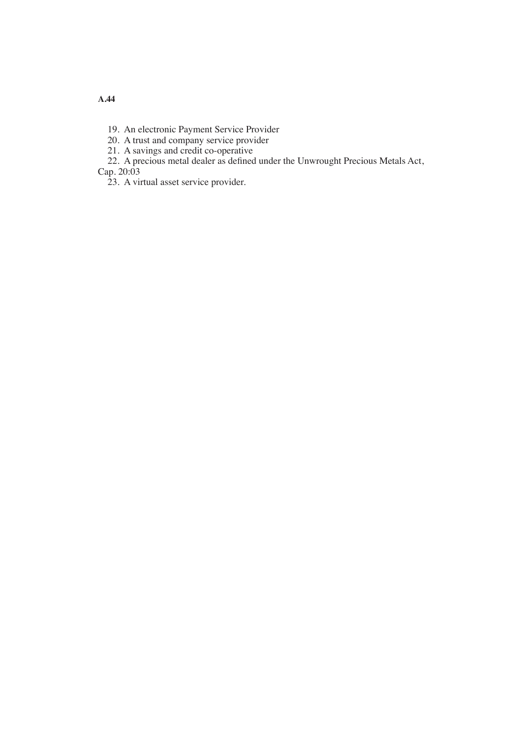19. An electronic Payment Service Provider

20. A trust and company service provider

21. A savings and credit co-operative

22. A precious metal dealer as defined under the Unwrought Precious Metals Act, Cap. 20:03

23. A virtual asset service provider.

**A.44**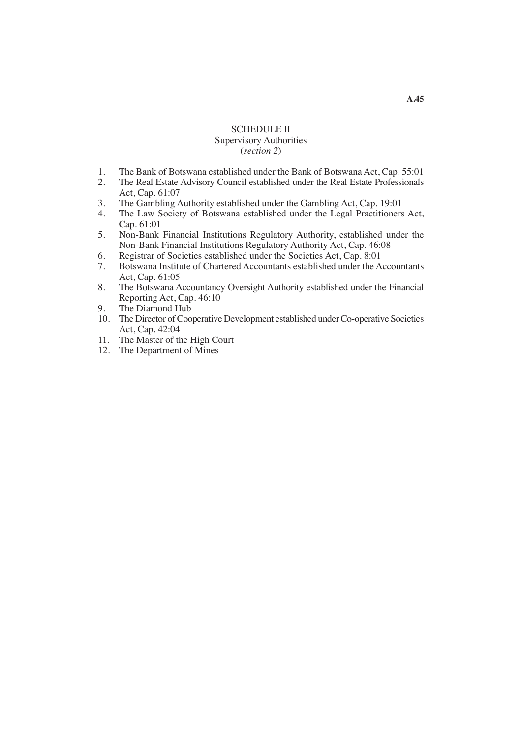## SCHEDULE II Supervisory Authorities (*section 2*)

- 1. The Bank of Botswana established under the Bank of Botswana Act, Cap. 55:01
- 2. The Real Estate Advisory Council established under the Real Estate Professionals Act, Cap. 61:07
- 3. The Gambling Authority established under the Gambling Act, Cap. 19:01
- 4. The Law Society of Botswana established under the Legal Practitioners Act, Cap. 61:01
- 5. Non-Bank Financial Institutions Regulatory Authority, established under the Non-Bank Financial Institutions Regulatory Authority Act, Cap. 46:08
- 6. Registrar of Societies established under the Societies Act, Cap. 8:01
- 7. Botswana Institute of Chartered Accountants established under the Accountants Act, Cap. 61:05
- 8. The Botswana Accountancy Oversight Authority established under the Financial Reporting Act, Cap. 46:10
- 9. The Diamond Hub
- 10. The Director of Cooperative Development established under Co-operative Societies Act, Cap. 42:04
- 11. The Master of the High Court
- 12. The Department of Mines